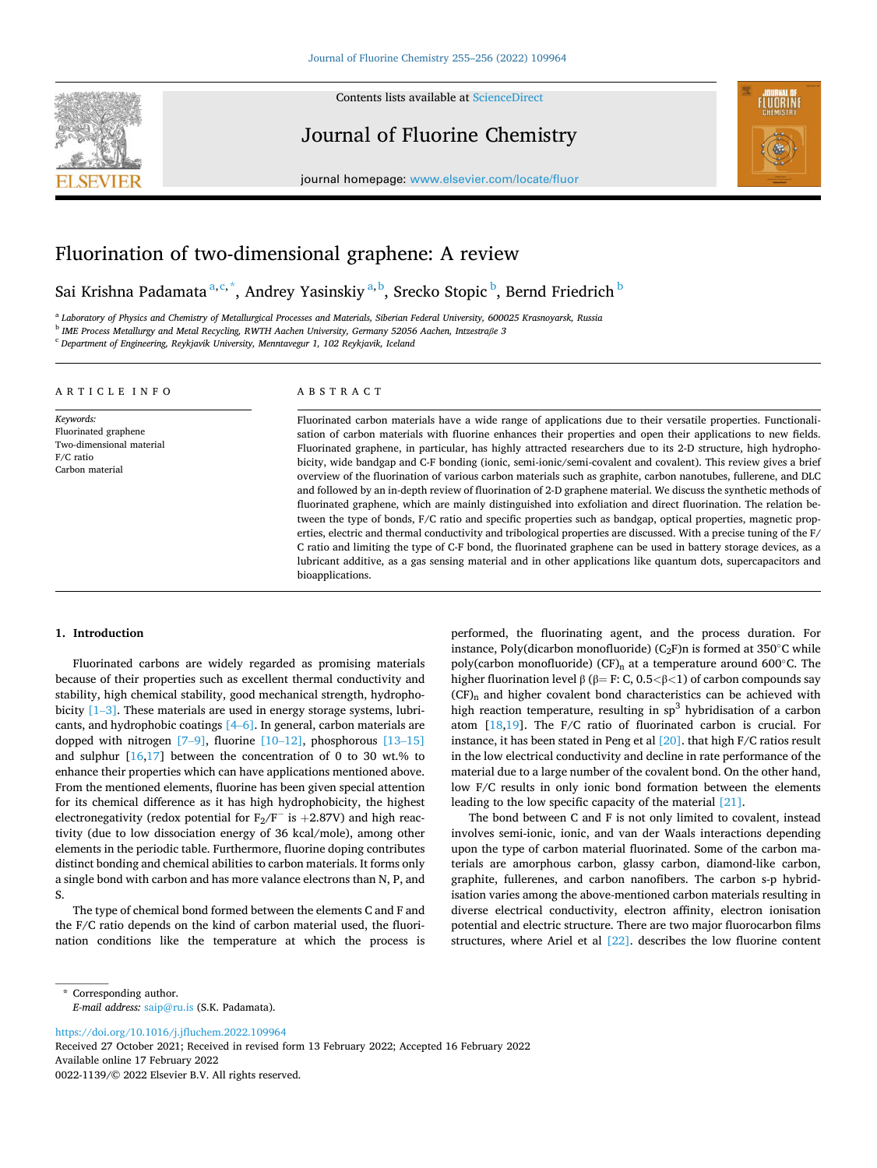

Contents lists available at [ScienceDirect](www.sciencedirect.com/science/journal/00221139)

Journal of Fluorine Chemistry



journal homepage: [www.elsevier.com/locate/fluor](https://www.elsevier.com/locate/fluor)

# Fluorination of two-dimensional graphene: A review

Sai Krishna Padamata<sup>a,c,\*</sup>, Andrey Yasinskiy<sup>a,b</sup>, Srecko Stopic<sup>b</sup>, Bernd Friedrich<sup>b</sup>

a *Laboratory of Physics and Chemistry of Metallurgical Processes and Materials, Siberian Federal University, 600025 Krasnoyarsk, Russia*  b *IME Process Metallurgy and Metal Recycling, RWTH Aachen University, Germany 52056 Aachen, Intzestraße 3* 

<sup>c</sup> *Department of Engineering, Reykjavik University, Menntavegur 1, 102 Reykjavik, Iceland* 

#### A R T I C L E I N F O

*Keywords:*  Fluorinated graphene Two-dimensional material F/C ratio Carbon material

# ABSTRACT

Fluorinated carbon materials have a wide range of applications due to their versatile properties. Functionalisation of carbon materials with fluorine enhances their properties and open their applications to new fields. Fluorinated graphene, in particular, has highly attracted researchers due to its 2-D structure, high hydrophobicity, wide bandgap and C-F bonding (ionic, semi-ionic/semi-covalent and covalent). This review gives a brief overview of the fluorination of various carbon materials such as graphite, carbon nanotubes, fullerene, and DLC and followed by an in-depth review of fluorination of 2-D graphene material. We discuss the synthetic methods of fluorinated graphene, which are mainly distinguished into exfoliation and direct fluorination. The relation between the type of bonds, F/C ratio and specific properties such as bandgap, optical properties, magnetic properties, electric and thermal conductivity and tribological properties are discussed. With a precise tuning of the F/ C ratio and limiting the type of C-F bond, the fluorinated graphene can be used in battery storage devices, as a lubricant additive, as a gas sensing material and in other applications like quantum dots, supercapacitors and bioapplications.

#### **1. Introduction**

Fluorinated carbons are widely regarded as promising materials because of their properties such as excellent thermal conductivity and stability, high chemical stability, good mechanical strength, hydrophobicity [1–[3\].](#page-11-0) These materials are used in energy storage systems, lubricants, and hydrophobic coatings [4–[6\].](#page-11-0) In general, carbon materials are dopped with nitrogen  $[7-9]$ , fluorine  $[10-12]$ , phosphorous  $[13-15]$ and sulphur  $[16,17]$  between the concentration of 0 to 30 wt.% to enhance their properties which can have applications mentioned above. From the mentioned elements, fluorine has been given special attention for its chemical difference as it has high hydrophobicity, the highest electronegativity (redox potential for  $F_2/F^-$  is  $+2.87V$ ) and high reactivity (due to low dissociation energy of 36 kcal/mole), among other elements in the periodic table. Furthermore, fluorine doping contributes distinct bonding and chemical abilities to carbon materials. It forms only a single bond with carbon and has more valance electrons than N, P, and S.

The type of chemical bond formed between the elements C and F and the F/C ratio depends on the kind of carbon material used, the fluorination conditions like the temperature at which the process is performed, the fluorinating agent, and the process duration. For instance, Poly(dicarbon monofluoride) (C<sub>2</sub>F)n is formed at  $350^{\circ}$ C while poly(carbon monofluoride) (CF)<sub>n</sub> at a temperature around 600 $^{\circ}$ C. The higher fluorination level β (β= F: C, 0.5*<*β*<*1) of carbon compounds say (CF)n and higher covalent bond characteristics can be achieved with high reaction temperature, resulting in  $sp<sup>3</sup>$  hybridisation of a carbon atom [[18,19\]](#page-11-0). The F/C ratio of fluorinated carbon is crucial. For instance, it has been stated in Peng et al [\[20\]](#page-11-0). that high F/C ratios result in the low electrical conductivity and decline in rate performance of the material due to a large number of the covalent bond. On the other hand, low F/C results in only ionic bond formation between the elements leading to the low specific capacity of the material [\[21\]](#page-11-0).

The bond between C and F is not only limited to covalent, instead involves semi-ionic, ionic, and van der Waals interactions depending upon the type of carbon material fluorinated. Some of the carbon materials are amorphous carbon, glassy carbon, diamond-like carbon, graphite, fullerenes, and carbon nanofibers. The carbon s-p hybridisation varies among the above-mentioned carbon materials resulting in diverse electrical conductivity, electron affinity, electron ionisation potential and electric structure. There are two major fluorocarbon films structures, where Ariel et al [\[22\].](#page-11-0) describes the low fluorine content

<https://doi.org/10.1016/j.jfluchem.2022.109964>

Available online 17 February 2022 0022-1139/© 2022 Elsevier B.V. All rights reserved. Received 27 October 2021; Received in revised form 13 February 2022; Accepted 16 February 2022

<sup>\*</sup> Corresponding author. *E-mail address:* [saip@ru.is](mailto:saip@ru.is) (S.K. Padamata).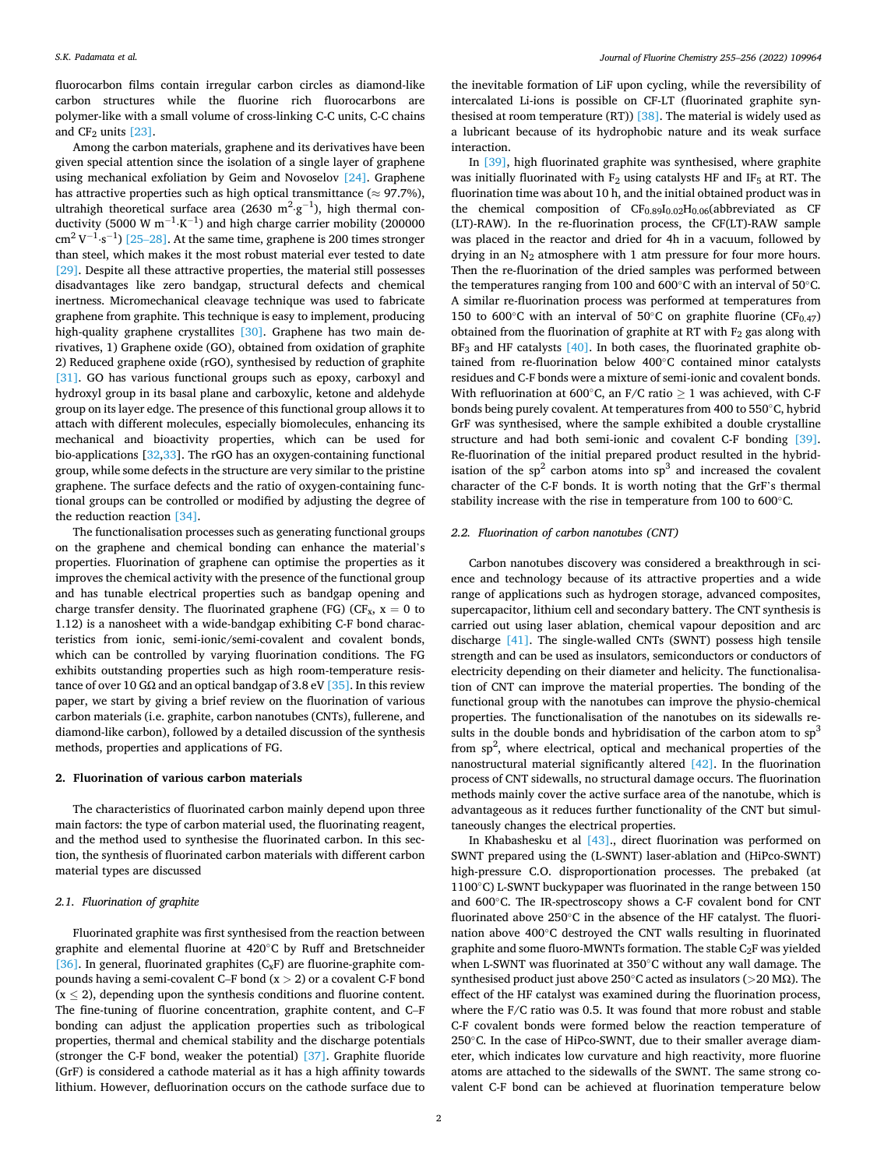fluorocarbon films contain irregular carbon circles as diamond-like carbon structures while the fluorine rich fluorocarbons are polymer-like with a small volume of cross-linking C-C units, C-C chains and  $CF_2$  units  $[23]$ .

Among the carbon materials, graphene and its derivatives have been given special attention since the isolation of a single layer of graphene using mechanical exfoliation by Geim and Novoselov [\[24\]](#page-11-0). Graphene has attractive properties such as high optical transmittance ( $\approx$  97.7%), ultrahigh theoretical surface area (2630  $m^2·g^{-1}$ ), high thermal conductivity (5000 W  $m^{-1}$ ·K $^{-1}$ ) and high charge carrier mobility (200000  $\text{cm}^2 \text{ V}^{-1} \cdot \text{s}^{-1}$ ) [25–[28\].](#page-11-0) At the same time, graphene is 200 times stronger than steel, which makes it the most robust material ever tested to date [\[29\]](#page-11-0). Despite all these attractive properties, the material still possesses disadvantages like zero bandgap, structural defects and chemical inertness. Micromechanical cleavage technique was used to fabricate graphene from graphite. This technique is easy to implement, producing high-quality graphene crystallites [\[30\].](#page-11-0) Graphene has two main derivatives, 1) Graphene oxide (GO), obtained from oxidation of graphite 2) Reduced graphene oxide (rGO), synthesised by reduction of graphite [\[31\]](#page-11-0). GO has various functional groups such as epoxy, carboxyl and hydroxyl group in its basal plane and carboxylic, ketone and aldehyde group on its layer edge. The presence of this functional group allows it to attach with different molecules, especially biomolecules, enhancing its mechanical and bioactivity properties, which can be used for bio-applications [[32,](#page-11-0)[33\]](#page-12-0). The rGO has an oxygen-containing functional group, while some defects in the structure are very similar to the pristine graphene. The surface defects and the ratio of oxygen-containing functional groups can be controlled or modified by adjusting the degree of the reduction reaction [\[34\]](#page-12-0).

The functionalisation processes such as generating functional groups on the graphene and chemical bonding can enhance the material's properties. Fluorination of graphene can optimise the properties as it improves the chemical activity with the presence of the functional group and has tunable electrical properties such as bandgap opening and charge transfer density. The fluorinated graphene (FG) (CF<sub>x</sub>,  $x = 0$  to 1.12) is a nanosheet with a wide-bandgap exhibiting C-F bond characteristics from ionic, semi-ionic/semi-covalent and covalent bonds, which can be controlled by varying fluorination conditions. The FG exhibits outstanding properties such as high room-temperature resistance of over 10 G $\Omega$  and an optical bandgap of 3.8 eV [\[35\].](#page-12-0) In this review paper, we start by giving a brief review on the fluorination of various carbon materials (i.e. graphite, carbon nanotubes (CNTs), fullerene, and diamond-like carbon), followed by a detailed discussion of the synthesis methods, properties and applications of FG.

# **2. Fluorination of various carbon materials**

The characteristics of fluorinated carbon mainly depend upon three main factors: the type of carbon material used, the fluorinating reagent, and the method used to synthesise the fluorinated carbon. In this section, the synthesis of fluorinated carbon materials with different carbon material types are discussed

## *2.1. Fluorination of graphite*

Fluorinated graphite was first synthesised from the reaction between graphite and elemental fluorine at 420◦C by Ruff and Bretschneider [\[36\]](#page-12-0). In general, fluorinated graphites  $(C_xF)$  are fluorine-graphite compounds having a semi-covalent C–F bond (x *>* 2) or a covalent C-F bond  $(x \le 2)$ , depending upon the synthesis conditions and fluorine content. The fine-tuning of fluorine concentration, graphite content, and C–F bonding can adjust the application properties such as tribological properties, thermal and chemical stability and the discharge potentials (stronger the C-F bond, weaker the potential) [\[37\].](#page-12-0) Graphite fluoride (GrF) is considered a cathode material as it has a high affinity towards lithium. However, defluorination occurs on the cathode surface due to

the inevitable formation of LiF upon cycling, while the reversibility of intercalated Li-ions is possible on CF-LT (fluorinated graphite synthesised at room temperature (RT))  $[38]$ . The material is widely used as a lubricant because of its hydrophobic nature and its weak surface interaction.

In [\[39\]](#page-12-0), high fluorinated graphite was synthesised, where graphite was initially fluorinated with  $F_2$  using catalysts HF and IF<sub>5</sub> at RT. The fluorination time was about 10 h, and the initial obtained product was in the chemical composition of  $CF_{0.89}I_{0.02}H_{0.06}$ (abbreviated as CF (LT)-RAW). In the re-fluorination process, the CF(LT)-RAW sample was placed in the reactor and dried for 4h in a vacuum, followed by drying in an  $N_2$  atmosphere with 1 atm pressure for four more hours. Then the re-fluorination of the dried samples was performed between the temperatures ranging from 100 and 600◦C with an interval of 50◦C. A similar re-fluorination process was performed at temperatures from 150 to 600°C with an interval of 50°C on graphite fluorine (CF<sub>0.47</sub>) obtained from the fluorination of graphite at RT with  $F_2$  gas along with  $BF<sub>3</sub>$  and HF catalysts [\[40\]](#page-12-0). In both cases, the fluorinated graphite obtained from re-fluorination below 400◦C contained minor catalysts residues and C-F bonds were a mixture of semi-ionic and covalent bonds. With refluorination at 600 $^{\circ}$ C, an F/C ratio > 1 was achieved, with C-F bonds being purely covalent. At temperatures from 400 to 550◦C, hybrid GrF was synthesised, where the sample exhibited a double crystalline structure and had both semi-ionic and covalent C-F bonding [\[39\]](#page-12-0). Re-fluorination of the initial prepared product resulted in the hybridisation of the  $sp^2$  carbon atoms into  $sp^3$  and increased the covalent character of the C-F bonds. It is worth noting that the GrF's thermal stability increase with the rise in temperature from 100 to 600◦C.

# *2.2. Fluorination of carbon nanotubes (CNT)*

Carbon nanotubes discovery was considered a breakthrough in science and technology because of its attractive properties and a wide range of applications such as hydrogen storage, advanced composites, supercapacitor, lithium cell and secondary battery. The CNT synthesis is carried out using laser ablation, chemical vapour deposition and arc discharge [\[41\].](#page-12-0) The single-walled CNTs (SWNT) possess high tensile strength and can be used as insulators, semiconductors or conductors of electricity depending on their diameter and helicity. The functionalisation of CNT can improve the material properties. The bonding of the functional group with the nanotubes can improve the physio-chemical properties. The functionalisation of the nanotubes on its sidewalls results in the double bonds and hybridisation of the carbon atom to  $\text{sp}^3$ from  $sp^2$ , where electrical, optical and mechanical properties of the nanostructural material significantly altered [\[42\].](#page-12-0) In the fluorination process of CNT sidewalls, no structural damage occurs. The fluorination methods mainly cover the active surface area of the nanotube, which is advantageous as it reduces further functionality of the CNT but simultaneously changes the electrical properties.

In Khabashesku et al [\[43\]](#page-12-0)., direct fluorination was performed on SWNT prepared using the (L-SWNT) laser-ablation and (HiPco-SWNT) high-pressure C.O. disproportionation processes. The prebaked (at 1100◦C) L-SWNT buckypaper was fluorinated in the range between 150 and 600◦C. The IR-spectroscopy shows a C-F covalent bond for CNT fluorinated above 250◦C in the absence of the HF catalyst. The fluorination above 400◦C destroyed the CNT walls resulting in fluorinated graphite and some fluoro-MWNTs formation. The stable  $C_2F$  was yielded when L-SWNT was fluorinated at 350◦C without any wall damage. The synthesised product just above 250◦C acted as insulators (*>*20 MΩ). The effect of the HF catalyst was examined during the fluorination process, where the F/C ratio was 0.5. It was found that more robust and stable C-F covalent bonds were formed below the reaction temperature of 250<sup>°</sup>C. In the case of HiPco-SWNT, due to their smaller average diameter, which indicates low curvature and high reactivity, more fluorine atoms are attached to the sidewalls of the SWNT. The same strong covalent C-F bond can be achieved at fluorination temperature below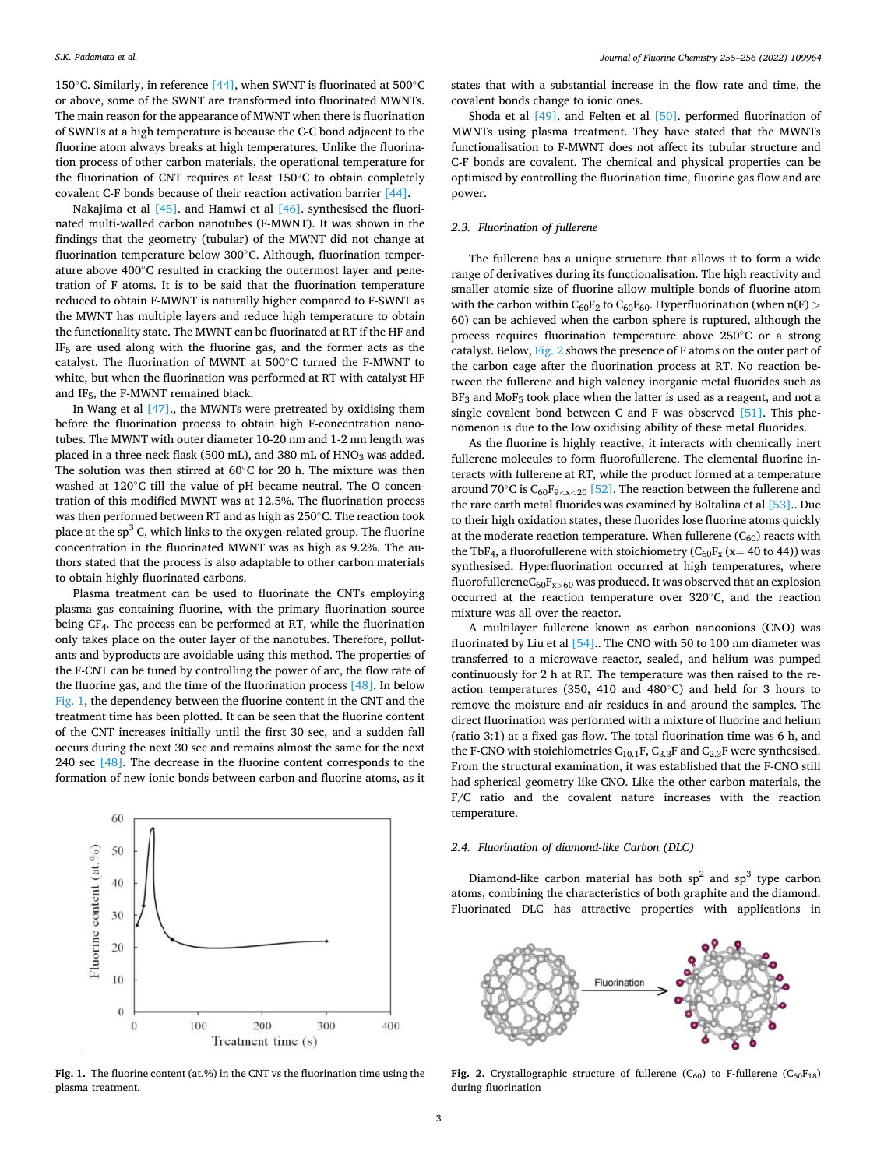150◦C. Similarly, in reference [\[44\]](#page-12-0), when SWNT is fluorinated at 500◦C or above, some of the SWNT are transformed into fluorinated MWNTs. The main reason for the appearance of MWNT when there is fluorination of SWNTs at a high temperature is because the C-C bond adjacent to the fluorine atom always breaks at high temperatures. Unlike the fluorination process of other carbon materials, the operational temperature for the fluorination of CNT requires at least 150◦C to obtain completely covalent C-F bonds because of their reaction activation barrier [\[44\].](#page-12-0)

Nakajima et al  $[45]$ . and Hamwi et al  $[46]$ . synthesised the fluorinated multi-walled carbon nanotubes (F-MWNT). It was shown in the findings that the geometry (tubular) of the MWNT did not change at fluorination temperature below 300◦C. Although, fluorination temperature above 400◦C resulted in cracking the outermost layer and penetration of F atoms. It is to be said that the fluorination temperature reduced to obtain F-MWNT is naturally higher compared to F-SWNT as the MWNT has multiple layers and reduce high temperature to obtain the functionality state. The MWNT can be fluorinated at RT if the HF and IF5 are used along with the fluorine gas, and the former acts as the catalyst. The fluorination of MWNT at 500◦C turned the F-MWNT to white, but when the fluorination was performed at RT with catalyst HF and  $IF_5$ , the F-MWNT remained black.

In Wang et al  $[47]$ , the MWNTs were pretreated by oxidising them before the fluorination process to obtain high F-concentration nanotubes. The MWNT with outer diameter 10-20 nm and 1-2 nm length was placed in a three-neck flask (500 mL), and 380 mL of HNO<sub>3</sub> was added. The solution was then stirred at 60◦C for 20 h. The mixture was then washed at 120◦C till the value of pH became neutral. The O concentration of this modified MWNT was at 12.5%. The fluorination process was then performed between RT and as high as 250◦C. The reaction took place at the  $sp<sup>3</sup>$  C, which links to the oxygen-related group. The fluorine concentration in the fluorinated MWNT was as high as 9.2%. The authors stated that the process is also adaptable to other carbon materials to obtain highly fluorinated carbons.

Plasma treatment can be used to fluorinate the CNTs employing plasma gas containing fluorine, with the primary fluorination source being CF4. The process can be performed at RT, while the fluorination only takes place on the outer layer of the nanotubes. Therefore, pollutants and byproducts are avoidable using this method. The properties of the F-CNT can be tuned by controlling the power of arc, the flow rate of the fluorine gas, and the time of the fluorination process [\[48\].](#page-12-0) In below Fig. 1, the dependency between the fluorine content in the CNT and the treatment time has been plotted. It can be seen that the fluorine content of the CNT increases initially until the first 30 sec, and a sudden fall occurs during the next 30 sec and remains almost the same for the next 240 sec  $[48]$ . The decrease in the fluorine content corresponds to the formation of new ionic bonds between carbon and fluorine atoms, as it



# *2.3. Fluorination of fullerene*

covalent bonds change to ionic ones.

The fullerene has a unique structure that allows it to form a wide range of derivatives during its functionalisation. The high reactivity and smaller atomic size of fluorine allow multiple bonds of fluorine atom with the carbon within  $C_{60}F_2$  to  $C_{60}F_{60}$ . Hyperfluorination (when  $n(F)$   $>$ 60) can be achieved when the carbon sphere is ruptured, although the process requires fluorination temperature above 250◦C or a strong catalyst. Below, Fig. 2 shows the presence of F atoms on the outer part of the carbon cage after the fluorination process at RT. No reaction between the fullerene and high valency inorganic metal fluorides such as  $BF<sub>3</sub>$  and MoF<sub>5</sub> took place when the latter is used as a reagent, and not a single covalent bond between C and F was observed [\[51\]](#page-12-0). This phenomenon is due to the low oxidising ability of these metal fluorides.

states that with a substantial increase in the flow rate and time, the

Shoda et al [\[49\].](#page-12-0) and Felten et al [\[50\]](#page-12-0). performed fluorination of MWNTs using plasma treatment. They have stated that the MWNTs functionalisation to F-MWNT does not affect its tubular structure and C-F bonds are covalent. The chemical and physical properties can be optimised by controlling the fluorination time, fluorine gas flow and arc

As the fluorine is highly reactive, it interacts with chemically inert fullerene molecules to form fluorofullerene. The elemental fluorine interacts with fullerene at RT, while the product formed at a temperature around 70◦C is C60F9*<*x*<*20 [\[52\]](#page-12-0). The reaction between the fullerene and the rare earth metal fluorides was examined by Boltalina et al [\[53\]](#page-12-0).. Due to their high oxidation states, these fluorides lose fluorine atoms quickly at the moderate reaction temperature. When fullerene  $(C_{60})$  reacts with the TbF<sub>4</sub>, a fluorofullerene with stoichiometry ( $C_{60}F_x$  (x= 40 to 44)) was synthesised. Hyperfluorination occurred at high temperatures, where fluorofullerene $C_{60}F_{x>60}$  was produced. It was observed that an explosion occurred at the reaction temperature over 320◦C, and the reaction mixture was all over the reactor.

A multilayer fullerene known as carbon nanoonions (CNO) was fluorinated by Liu et al  $[54]$ .. The CNO with 50 to 100 nm diameter was transferred to a microwave reactor, sealed, and helium was pumped continuously for 2 h at RT. The temperature was then raised to the reaction temperatures (350, 410 and 480◦C) and held for 3 hours to remove the moisture and air residues in and around the samples. The direct fluorination was performed with a mixture of fluorine and helium (ratio 3:1) at a fixed gas flow. The total fluorination time was 6 h, and the F-CNO with stoichiometries  $C_{10.1}F$ ,  $C_{3.3}F$  and  $C_{2.3}F$  were synthesised. From the structural examination, it was established that the F-CNO still had spherical geometry like CNO. Like the other carbon materials, the F/C ratio and the covalent nature increases with the reaction temperature.

#### *2.4. Fluorination of diamond-like Carbon (DLC)*

Diamond-like carbon material has both  $sp^2$  and  $sp^3$  type carbon atoms, combining the characteristics of both graphite and the diamond. Fluorinated DLC has attractive properties with applications in



**Fig. 1.** The fluorine content (at.%) in the CNT vs the fluorination time using the plasma treatment.

**Fig. 2.** Crystallographic structure of fullerene  $(C_{60})$  to F-fullerene  $(C_{60}F_{18})$ during fluorination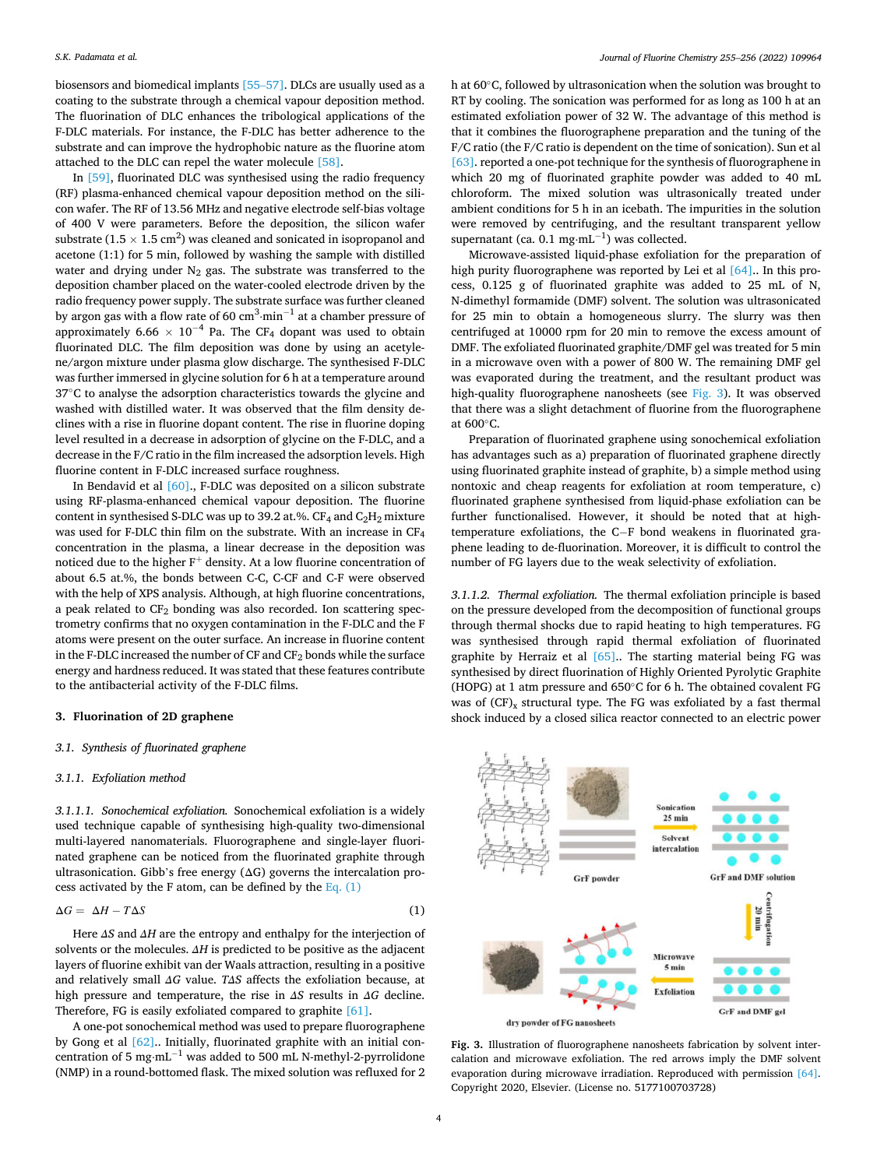biosensors and biomedical implants [\[55](#page-12-0)–57]. DLCs are usually used as a coating to the substrate through a chemical vapour deposition method. The fluorination of DLC enhances the tribological applications of the F-DLC materials. For instance, the F-DLC has better adherence to the substrate and can improve the hydrophobic nature as the fluorine atom attached to the DLC can repel the water molecule [\[58\]](#page-12-0).

In [\[59\]](#page-12-0), fluorinated DLC was synthesised using the radio frequency (RF) plasma-enhanced chemical vapour deposition method on the silicon wafer. The RF of 13.56 MHz and negative electrode self-bias voltage of 400 V were parameters. Before the deposition, the silicon wafer substrate (1.5  $\times$  1.5 cm<sup>2</sup>) was cleaned and sonicated in isopropanol and acetone (1:1) for 5 min, followed by washing the sample with distilled water and drying under  $N_2$  gas. The substrate was transferred to the deposition chamber placed on the water-cooled electrode driven by the radio frequency power supply. The substrate surface was further cleaned by argon gas with a flow rate of 60  $\rm cm^3 \cdot min^{-1}$  at a chamber pressure of approximately 6.66  $\times$  10<sup>-4</sup> Pa. The CF<sub>4</sub> dopant was used to obtain fluorinated DLC. The film deposition was done by using an acetylene/argon mixture under plasma glow discharge. The synthesised F-DLC was further immersed in glycine solution for 6 h at a temperature around 37◦C to analyse the adsorption characteristics towards the glycine and washed with distilled water. It was observed that the film density declines with a rise in fluorine dopant content. The rise in fluorine doping level resulted in a decrease in adsorption of glycine on the F-DLC, and a decrease in the F/C ratio in the film increased the adsorption levels. High fluorine content in F-DLC increased surface roughness.

In Bendavid et al [\[60\].](#page-12-0), F-DLC was deposited on a silicon substrate using RF-plasma-enhanced chemical vapour deposition. The fluorine content in synthesised S-DLC was up to 39.2 at.%.  $CF_4$  and  $C_2H_2$  mixture was used for F-DLC thin film on the substrate. With an increase in CF<sup>4</sup> concentration in the plasma, a linear decrease in the deposition was noticed due to the higher  $F^+$  density. At a low fluorine concentration of about 6.5 at.%, the bonds between C-C, C-CF and C-F were observed with the help of XPS analysis. Although, at high fluorine concentrations, a peak related to  $CF_2$  bonding was also recorded. Ion scattering spectrometry confirms that no oxygen contamination in the F-DLC and the F atoms were present on the outer surface. An increase in fluorine content in the F-DLC increased the number of CF and CF<sub>2</sub> bonds while the surface energy and hardness reduced. It was stated that these features contribute to the antibacterial activity of the F-DLC films.

#### **3. Fluorination of 2D graphene**

# *3.1. Synthesis of fluorinated graphene*

#### *3.1.1. Exfoliation method*

*3.1.1.1. Sonochemical exfoliation.* Sonochemical exfoliation is a widely used technique capable of synthesising high-quality two-dimensional multi-layered nanomaterials. Fluorographene and single-layer fluorinated graphene can be noticed from the fluorinated graphite through ultrasonication. Gibb's free energy  $( \Delta G)$  governs the intercalation process activated by the F atom, can be defined by the Eq.  $(1)$ 

$$
\Delta G = \Delta H - T\Delta S \tag{1}
$$

Here *ΔS* and *ΔH* are the entropy and enthalpy for the interjection of solvents or the molecules. *ΔH* is predicted to be positive as the adjacent layers of fluorine exhibit van der Waals attraction, resulting in a positive and relatively small *ΔG* value. *TΔS* affects the exfoliation because, at high pressure and temperature, the rise in *ΔS* results in *ΔG* decline. Therefore, FG is easily exfoliated compared to graphite [\[61\].](#page-12-0)

A one-pot sonochemical method was used to prepare fluorographene by Gong et al [\[62\]](#page-12-0).. Initially, fluorinated graphite with an initial concentration of 5 mg⋅mL−1 was added to 500 mL N-methyl-2-pyrrolidone (NMP) in a round-bottomed flask. The mixed solution was refluxed for 2 h at 60◦C, followed by ultrasonication when the solution was brought to RT by cooling. The sonication was performed for as long as 100 h at an estimated exfoliation power of 32 W. The advantage of this method is that it combines the fluorographene preparation and the tuning of the F/C ratio (the F/C ratio is dependent on the time of sonication). Sun et al [\[63\]](#page-12-0). reported a one-pot technique for the synthesis of fluorographene in which 20 mg of fluorinated graphite powder was added to 40 mL chloroform. The mixed solution was ultrasonically treated under ambient conditions for 5 h in an icebath. The impurities in the solution were removed by centrifuging, and the resultant transparent yellow supernatant (ca. 0.1 mg⋅mL<sup>-1</sup>) was collected.

Microwave-assisted liquid-phase exfoliation for the preparation of high purity fluorographene was reported by Lei et al [\[64\]](#page-12-0).. In this process, 0.125 g of fluorinated graphite was added to 25 mL of N, N-dimethyl formamide (DMF) solvent. The solution was ultrasonicated for 25 min to obtain a homogeneous slurry. The slurry was then centrifuged at 10000 rpm for 20 min to remove the excess amount of DMF. The exfoliated fluorinated graphite/DMF gel was treated for 5 min in a microwave oven with a power of 800 W. The remaining DMF gel was evaporated during the treatment, and the resultant product was high-quality fluorographene nanosheets (see Fig. 3). It was observed that there was a slight detachment of fluorine from the fluorographene at 600◦C.

Preparation of fluorinated graphene using sonochemical exfoliation has advantages such as a) preparation of fluorinated graphene directly using fluorinated graphite instead of graphite, b) a simple method using nontoxic and cheap reagents for exfoliation at room temperature, c) fluorinated graphene synthesised from liquid-phase exfoliation can be further functionalised. However, it should be noted that at hightemperature exfoliations, the C−F bond weakens in fluorinated graphene leading to de-fluorination. Moreover, it is difficult to control the number of FG layers due to the weak selectivity of exfoliation.

*3.1.1.2. Thermal exfoliation.* The thermal exfoliation principle is based on the pressure developed from the decomposition of functional groups through thermal shocks due to rapid heating to high temperatures. FG was synthesised through rapid thermal exfoliation of fluorinated graphite by Herraiz et al  $[65]$ . The starting material being FG was synthesised by direct fluorination of Highly Oriented Pyrolytic Graphite (HOPG) at 1 atm pressure and  $650^{\circ}$ C for 6 h. The obtained covalent FG was of  $(CF)_x$  structural type. The FG was exfoliated by a fast thermal shock induced by a closed silica reactor connected to an electric power



dry powder of FG nanosheets

**Fig. 3.** Illustration of fluorographene nanosheets fabrication by solvent intercalation and microwave exfoliation. The red arrows imply the DMF solvent evaporation during microwave irradiation. Reproduced with permission [\[64\].](#page-12-0) Copyright 2020, Elsevier. (License no. 5177100703728)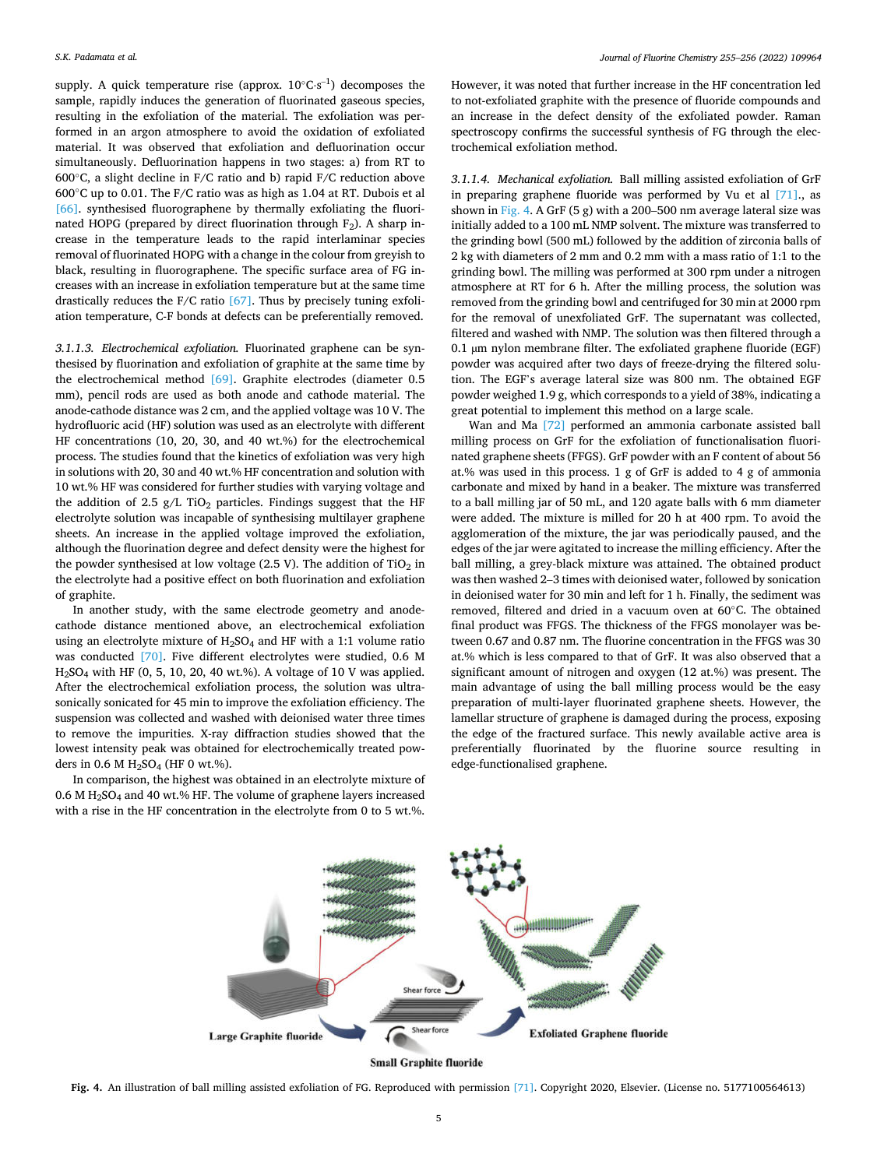supply. A quick temperature rise (approx.  $10^{\circ}$ C⋅s<sup>-1</sup>) decomposes the sample, rapidly induces the generation of fluorinated gaseous species, resulting in the exfoliation of the material. The exfoliation was performed in an argon atmosphere to avoid the oxidation of exfoliated material. It was observed that exfoliation and defluorination occur simultaneously. Defluorination happens in two stages: a) from RT to 600◦C, a slight decline in F/C ratio and b) rapid F/C reduction above 600◦C up to 0.01. The F/C ratio was as high as 1.04 at RT. Dubois et al [\[66\]](#page-12-0). synthesised fluorographene by thermally exfoliating the fluorinated HOPG (prepared by direct fluorination through  $F_2$ ). A sharp increase in the temperature leads to the rapid interlaminar species removal of fluorinated HOPG with a change in the colour from greyish to black, resulting in fluorographene. The specific surface area of FG increases with an increase in exfoliation temperature but at the same time drastically reduces the F/C ratio [\[67\]](#page-12-0). Thus by precisely tuning exfoliation temperature, C-F bonds at defects can be preferentially removed.

*3.1.1.3. Electrochemical exfoliation.* Fluorinated graphene can be synthesised by fluorination and exfoliation of graphite at the same time by the electrochemical method [\[69\].](#page-12-0) Graphite electrodes (diameter 0.5 mm), pencil rods are used as both anode and cathode material. The anode-cathode distance was 2 cm, and the applied voltage was 10 V. The hydrofluoric acid (HF) solution was used as an electrolyte with different HF concentrations (10, 20, 30, and 40 wt.%) for the electrochemical process. The studies found that the kinetics of exfoliation was very high in solutions with 20, 30 and 40 wt.% HF concentration and solution with 10 wt.% HF was considered for further studies with varying voltage and the addition of 2.5 g/L TiO<sub>2</sub> particles. Findings suggest that the HF electrolyte solution was incapable of synthesising multilayer graphene sheets. An increase in the applied voltage improved the exfoliation, although the fluorination degree and defect density were the highest for the powder synthesised at low voltage (2.5 V). The addition of  $TiO<sub>2</sub>$  in the electrolyte had a positive effect on both fluorination and exfoliation of graphite.

In another study, with the same electrode geometry and anodecathode distance mentioned above, an electrochemical exfoliation using an electrolyte mixture of  $H_2SO_4$  and HF with a 1:1 volume ratio was conducted [\[70\].](#page-12-0) Five different electrolytes were studied, 0.6 M  $H<sub>2</sub>SO<sub>4</sub>$  with HF (0, 5, 10, 20, 40 wt.%). A voltage of 10 V was applied. After the electrochemical exfoliation process, the solution was ultrasonically sonicated for 45 min to improve the exfoliation efficiency. The suspension was collected and washed with deionised water three times to remove the impurities. X-ray diffraction studies showed that the lowest intensity peak was obtained for electrochemically treated powders in  $0.6$  M H<sub>2</sub>SO<sub>4</sub> (HF 0 wt.%).

In comparison, the highest was obtained in an electrolyte mixture of 0.6 M H2SO4 and 40 wt.% HF. The volume of graphene layers increased with a rise in the HF concentration in the electrolyte from 0 to 5 wt.%.

However, it was noted that further increase in the HF concentration led to not-exfoliated graphite with the presence of fluoride compounds and an increase in the defect density of the exfoliated powder. Raman spectroscopy confirms the successful synthesis of FG through the electrochemical exfoliation method.

*3.1.1.4. Mechanical exfoliation.* Ball milling assisted exfoliation of GrF in preparing graphene fluoride was performed by Vu et al [\[71\]](#page-12-0)., as shown in Fig. 4. A GrF  $(5 g)$  with a 200–500 nm average lateral size was initially added to a 100 mL NMP solvent. The mixture was transferred to the grinding bowl (500 mL) followed by the addition of zirconia balls of 2 kg with diameters of 2 mm and 0.2 mm with a mass ratio of 1:1 to the grinding bowl. The milling was performed at 300 rpm under a nitrogen atmosphere at RT for 6 h. After the milling process, the solution was removed from the grinding bowl and centrifuged for 30 min at 2000 rpm for the removal of unexfoliated GrF. The supernatant was collected, filtered and washed with NMP. The solution was then filtered through a 0.1 µm nylon membrane filter. The exfoliated graphene fluoride (EGF) powder was acquired after two days of freeze-drying the filtered solution. The EGF's average lateral size was 800 nm. The obtained EGF powder weighed 1.9 g, which corresponds to a yield of 38%, indicating a great potential to implement this method on a large scale.

Wan and Ma [\[72\]](#page-12-0) performed an ammonia carbonate assisted ball milling process on GrF for the exfoliation of functionalisation fluorinated graphene sheets (FFGS). GrF powder with an F content of about 56 at.% was used in this process. 1 g of GrF is added to 4 g of ammonia carbonate and mixed by hand in a beaker. The mixture was transferred to a ball milling jar of 50 mL, and 120 agate balls with 6 mm diameter were added. The mixture is milled for 20 h at 400 rpm. To avoid the agglomeration of the mixture, the jar was periodically paused, and the edges of the jar were agitated to increase the milling efficiency. After the ball milling, a grey-black mixture was attained. The obtained product was then washed 2–3 times with deionised water, followed by sonication in deionised water for 30 min and left for 1 h. Finally, the sediment was removed, filtered and dried in a vacuum oven at 60◦C. The obtained final product was FFGS. The thickness of the FFGS monolayer was between 0.67 and 0.87 nm. The fluorine concentration in the FFGS was 30 at.% which is less compared to that of GrF. It was also observed that a significant amount of nitrogen and oxygen (12 at.%) was present. The main advantage of using the ball milling process would be the easy preparation of multi-layer fluorinated graphene sheets. However, the lamellar structure of graphene is damaged during the process, exposing the edge of the fractured surface. This newly available active area is preferentially fluorinated by the fluorine source resulting in edge-functionalised graphene.



**Small Graphite fluoride** 

**Fig. 4.** An illustration of ball milling assisted exfoliation of FG. Reproduced with permission [\[71\].](#page-12-0) Copyright 2020, Elsevier. (License no. 5177100564613)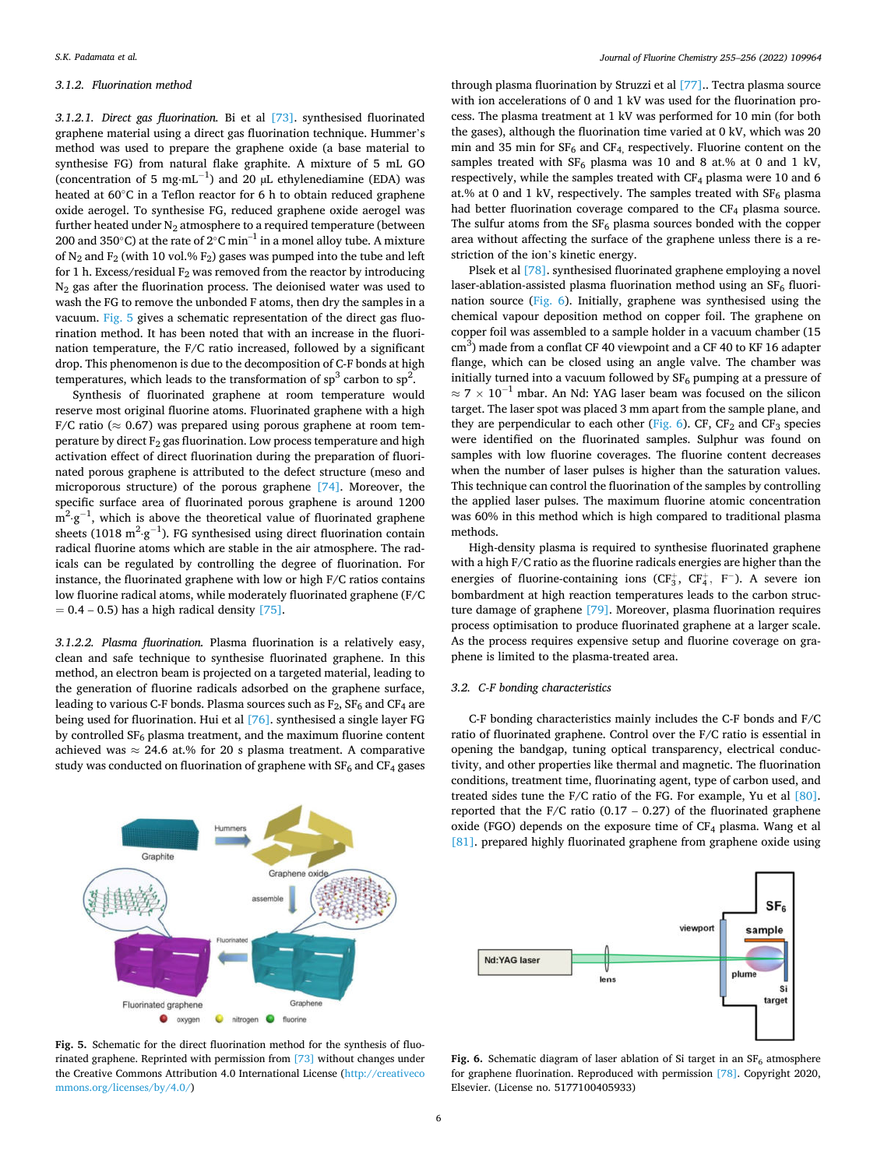# *3.1.2. Fluorination method*

*3.1.2.1. Direct gas fluorination.* Bi et al [\[73\].](#page-12-0) synthesised fluorinated graphene material using a direct gas fluorination technique. Hummer's method was used to prepare the graphene oxide (a base material to synthesise FG) from natural flake graphite. A mixture of 5 mL GO (concentration of 5 mg⋅mL<sup>-1</sup>) and 20 µL ethylenediamine (EDA) was heated at 60◦C in a Teflon reactor for 6 h to obtain reduced graphene oxide aerogel. To synthesise FG, reduced graphene oxide aerogel was further heated under  $N_2$  atmosphere to a required temperature (between 200 and 350°C) at the rate of 2°C min<sup>-1</sup> in a monel alloy tube. A mixture of  $N_2$  and  $F_2$  (with 10 vol.%  $F_2$ ) gases was pumped into the tube and left for 1 h. Excess/residual  $F_2$  was removed from the reactor by introducing N2 gas after the fluorination process. The deionised water was used to wash the FG to remove the unbonded F atoms, then dry the samples in a vacuum. Fig. 5 gives a schematic representation of the direct gas fluorination method. It has been noted that with an increase in the fluorination temperature, the F/C ratio increased, followed by a significant drop. This phenomenon is due to the decomposition of C-F bonds at high temperatures, which leads to the transformation of  $sp^3$  carbon to  $sp^2$ .

Synthesis of fluorinated graphene at room temperature would reserve most original fluorine atoms. Fluorinated graphene with a high F/C ratio ( $\approx 0.67$ ) was prepared using porous graphene at room temperature by direct  $F_2$  gas fluorination. Low process temperature and high activation effect of direct fluorination during the preparation of fluorinated porous graphene is attributed to the defect structure (meso and microporous structure) of the porous graphene [\[74\]](#page-12-0). Moreover, the specific surface area of fluorinated porous graphene is around 1200  $m^2 \cdot g^{-1}$ , which is above the theoretical value of fluorinated graphene sheets (1018 m<sup>2</sup>·g<sup>-1</sup>). FG synthesised using direct fluorination contain radical fluorine atoms which are stable in the air atmosphere. The radicals can be regulated by controlling the degree of fluorination. For instance, the fluorinated graphene with low or high F/C ratios contains low fluorine radical atoms, while moderately fluorinated graphene (F/C  $= 0.4 - 0.5$ ) has a high radical density [\[75\].](#page-12-0)

*3.1.2.2. Plasma fluorination.* Plasma fluorination is a relatively easy, clean and safe technique to synthesise fluorinated graphene. In this method, an electron beam is projected on a targeted material, leading to the generation of fluorine radicals adsorbed on the graphene surface, leading to various C-F bonds. Plasma sources such as  $F_2$ ,  $SF_6$  and  $CF_4$  are being used for fluorination. Hui et al [\[76\].](#page-12-0) synthesised a single layer FG by controlled  $SF_6$  plasma treatment, and the maximum fluorine content achieved was  $\approx$  24.6 at.% for 20 s plasma treatment. A comparative study was conducted on fluorination of graphene with  $SF_6$  and  $CF_4$  gases



**Fig. 5.** Schematic for the direct fluorination method for the synthesis of fluorinated graphene. Reprinted with permission from [\[73\]](#page-12-0) without changes under the Creative Commons Attribution 4.0 International License [\(http://creativeco](http://creativecommons.org/licenses/by/4.0/)  [mmons.org/licenses/by/4.0/](http://creativecommons.org/licenses/by/4.0/))

through plasma fluorination by Struzzi et al [\[77\]](#page-12-0).. Tectra plasma source with ion accelerations of 0 and 1 kV was used for the fluorination process. The plasma treatment at 1 kV was performed for 10 min (for both the gases), although the fluorination time varied at 0 kV, which was 20 min and 35 min for  $SF_6$  and  $CF_4$ , respectively. Fluorine content on the samples treated with  $SF_6$  plasma was 10 and 8 at.% at 0 and 1 kV, respectively, while the samples treated with CF4 plasma were 10 and 6 at.% at 0 and 1 kV, respectively. The samples treated with  $SF_6$  plasma had better fluorination coverage compared to the  $CF<sub>4</sub>$  plasma source. The sulfur atoms from the  $SF_6$  plasma sources bonded with the copper area without affecting the surface of the graphene unless there is a restriction of the ion's kinetic energy.

Plsek et al [\[78\]](#page-12-0). synthesised fluorinated graphene employing a novel laser-ablation-assisted plasma fluorination method using an  $SF<sub>6</sub>$  fluorination source (Fig. 6). Initially, graphene was synthesised using the chemical vapour deposition method on copper foil. The graphene on copper foil was assembled to a sample holder in a vacuum chamber (15  $\text{cm}^3$ ) made from a conflat CF 40 viewpoint and a CF 40 to KF 16 adapter flange, which can be closed using an angle valve. The chamber was initially turned into a vacuum followed by  $SF_6$  pumping at a pressure of  $\approx$  7  $\times$  10<sup>-1</sup> mbar. An Nd: YAG laser beam was focused on the silicon target. The laser spot was placed 3 mm apart from the sample plane, and they are perpendicular to each other (Fig.  $6$ ). CF, CF<sub>2</sub> and CF<sub>3</sub> species were identified on the fluorinated samples. Sulphur was found on samples with low fluorine coverages. The fluorine content decreases when the number of laser pulses is higher than the saturation values. This technique can control the fluorination of the samples by controlling the applied laser pulses. The maximum fluorine atomic concentration was 60% in this method which is high compared to traditional plasma methods.

High-density plasma is required to synthesise fluorinated graphene with a high F/C ratio as the fluorine radicals energies are higher than the energies of fluorine-containing ions (CF<sub>3</sub>, CF<sub>4</sub>, F<sup>-</sup>). A severe ion bombardment at high reaction temperatures leads to the carbon structure damage of graphene [\[79\].](#page-12-0) Moreover, plasma fluorination requires process optimisation to produce fluorinated graphene at a larger scale. As the process requires expensive setup and fluorine coverage on graphene is limited to the plasma-treated area.

# *3.2. C-F bonding characteristics*

C-F bonding characteristics mainly includes the C-F bonds and F/C ratio of fluorinated graphene. Control over the F/C ratio is essential in opening the bandgap, tuning optical transparency, electrical conductivity, and other properties like thermal and magnetic. The fluorination conditions, treatment time, fluorinating agent, type of carbon used, and treated sides tune the F/C ratio of the FG. For example, Yu et al [\[80\]](#page-12-0). reported that the F/C ratio  $(0.17 - 0.27)$  of the fluorinated graphene oxide (FGO) depends on the exposure time of  $CF_4$  plasma. Wang et al [\[81\]](#page-12-0). prepared highly fluorinated graphene from graphene oxide using



**Fig. 6.** Schematic diagram of laser ablation of Si target in an  $SF<sub>6</sub>$  atmosphere for graphene fluorination. Reproduced with permission [\[78\].](#page-12-0) Copyright 2020, Elsevier. (License no. 5177100405933)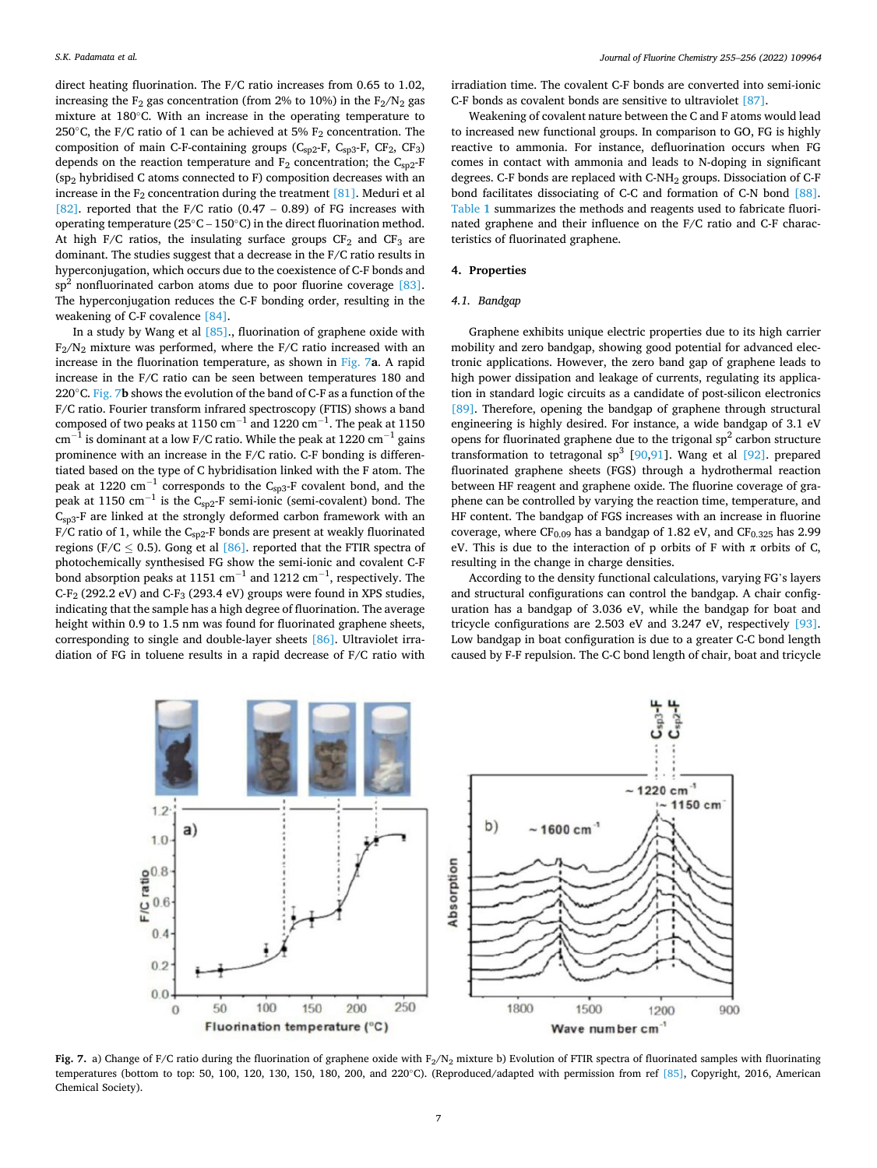direct heating fluorination. The F/C ratio increases from 0.65 to 1.02, increasing the  $F_2$  gas concentration (from 2% to 10%) in the  $F_2/N_2$  gas mixture at 180◦C. With an increase in the operating temperature to 250 $\degree$ C, the F/C ratio of 1 can be achieved at 5% F<sub>2</sub> concentration. The composition of main C-F-containing groups (C<sub>sp2</sub>-F, C<sub>sp3</sub>-F, CF<sub>2</sub>, CF<sub>3</sub>) depends on the reaction temperature and  $F_2$  concentration; the C<sub>sp2</sub>-F (sp2 hybridised C atoms connected to F) composition decreases with an increase in the  $F_2$  concentration during the treatment [\[81\].](#page-12-0) Meduri et al [\[82\]](#page-12-0). reported that the F/C ratio  $(0.47 - 0.89)$  of FG increases with operating temperature (25◦C – 150◦C) in the direct fluorination method. At high F/C ratios, the insulating surface groups  $CF_2$  and  $CF_3$  are dominant. The studies suggest that a decrease in the F/C ratio results in hyperconjugation, which occurs due to the coexistence of C-F bonds and  $sp<sup>2</sup>$  nonfluorinated carbon atoms due to poor fluorine coverage  $[83]$ . The hyperconjugation reduces the C-F bonding order, resulting in the weakening of C-F covalence [\[84\]](#page-12-0).

In a study by Wang et al  $[85]$ ., fluorination of graphene oxide with  $F_2/N_2$  mixture was performed, where the F/C ratio increased with an increase in the fluorination temperature, as shown in Fig. 7**a**. A rapid increase in the F/C ratio can be seen between temperatures 180 and 220◦C. Fig. 7**b** shows the evolution of the band of C-F as a function of the F/C ratio. Fourier transform infrared spectroscopy (FTIS) shows a band composed of two peaks at 1150  $\rm cm^{-1}$  and 1220  $\rm cm^{-1}$ . The peak at 1150  $\text{cm}^{-1}$  is dominant at a low F/C ratio. While the peak at 1220  $\text{cm}^{-1}$  gains prominence with an increase in the F/C ratio. C-F bonding is differentiated based on the type of C hybridisation linked with the F atom. The peak at 1220 cm<sup>-1</sup> corresponds to the C<sub>sp3</sub>-F covalent bond, and the peak at 1150  $\text{cm}^{-1}$  is the C<sub>sp2</sub>-F semi-ionic (semi-covalent) bond. The  $C<sub>SD3</sub>$ -F are linked at the strongly deformed carbon framework with an F/C ratio of 1, while the  $C_{sp2}$ -F bonds are present at weakly fluorinated regions (F/C  $\leq$  0.5). Gong et al [\[86\]](#page-12-0). reported that the FTIR spectra of photochemically synthesised FG show the semi-ionic and covalent C-F bond absorption peaks at 1151  $\text{cm}^{-1}$  and 1212  $\text{cm}^{-1}$ , respectively. The C-F<sub>2</sub> (292.2 eV) and C-F<sub>3</sub> (293.4 eV) groups were found in XPS studies, indicating that the sample has a high degree of fluorination. The average height within 0.9 to 1.5 nm was found for fluorinated graphene sheets, corresponding to single and double-layer sheets [\[86\].](#page-12-0) Ultraviolet irradiation of FG in toluene results in a rapid decrease of F/C ratio with

irradiation time. The covalent C-F bonds are converted into semi-ionic C-F bonds as covalent bonds are sensitive to ultraviolet [\[87\].](#page-12-0)

Weakening of covalent nature between the C and F atoms would lead to increased new functional groups. In comparison to GO, FG is highly reactive to ammonia. For instance, defluorination occurs when FG comes in contact with ammonia and leads to N-doping in significant degrees. C-F bonds are replaced with C-NH2 groups. Dissociation of C-F bond facilitates dissociating of C-C and formation of C-N bond [\[88\]](#page-12-0). [Table](#page-7-0) **1** summarizes the methods and reagents used to fabricate fluorinated graphene and their influence on the F/C ratio and C-F characteristics of fluorinated graphene.

# **4. Properties**

#### *4.1. Bandgap*

Graphene exhibits unique electric properties due to its high carrier mobility and zero bandgap, showing good potential for advanced electronic applications. However, the zero band gap of graphene leads to high power dissipation and leakage of currents, regulating its application in standard logic circuits as a candidate of post-silicon electronics [\[89\]](#page-12-0). Therefore, opening the bandgap of graphene through structural engineering is highly desired. For instance, a wide bandgap of 3.1 eV opens for fluorinated graphene due to the trigonal  $sp<sup>2</sup>$  carbon structure transformation to tetragonal  $sp^3$  [\[90,91](#page-12-0)]. Wang et al [\[92\]](#page-13-0). prepared fluorinated graphene sheets (FGS) through a hydrothermal reaction between HF reagent and graphene oxide. The fluorine coverage of graphene can be controlled by varying the reaction time, temperature, and HF content. The bandgap of FGS increases with an increase in fluorine coverage, where  $CF_{0.09}$  has a bandgap of 1.82 eV, and  $CF_{0.325}$  has 2.99 eV. This is due to the interaction of p orbits of F with  $\pi$  orbits of C, resulting in the change in charge densities.

According to the density functional calculations, varying FG's layers and structural configurations can control the bandgap. A chair configuration has a bandgap of 3.036 eV, while the bandgap for boat and tricycle configurations are 2.503 eV and 3.247 eV, respectively [\[93\]](#page-13-0). Low bandgap in boat configuration is due to a greater C-C bond length caused by F-F repulsion. The C-C bond length of chair, boat and tricycle



**Fig. 7.** a) Change of F/C ratio during the fluorination of graphene oxide with  $F_2/N_2$  mixture b) Evolution of FTIR spectra of fluorinated samples with fluorinating temperatures (bottom to top: 50, 100, 120, 130, 150, 180, 200, and 220℃). (Reproduced/adapted with permission from ref [\[85\]](#page-12-0), Copyright, 2016, American Chemical Society).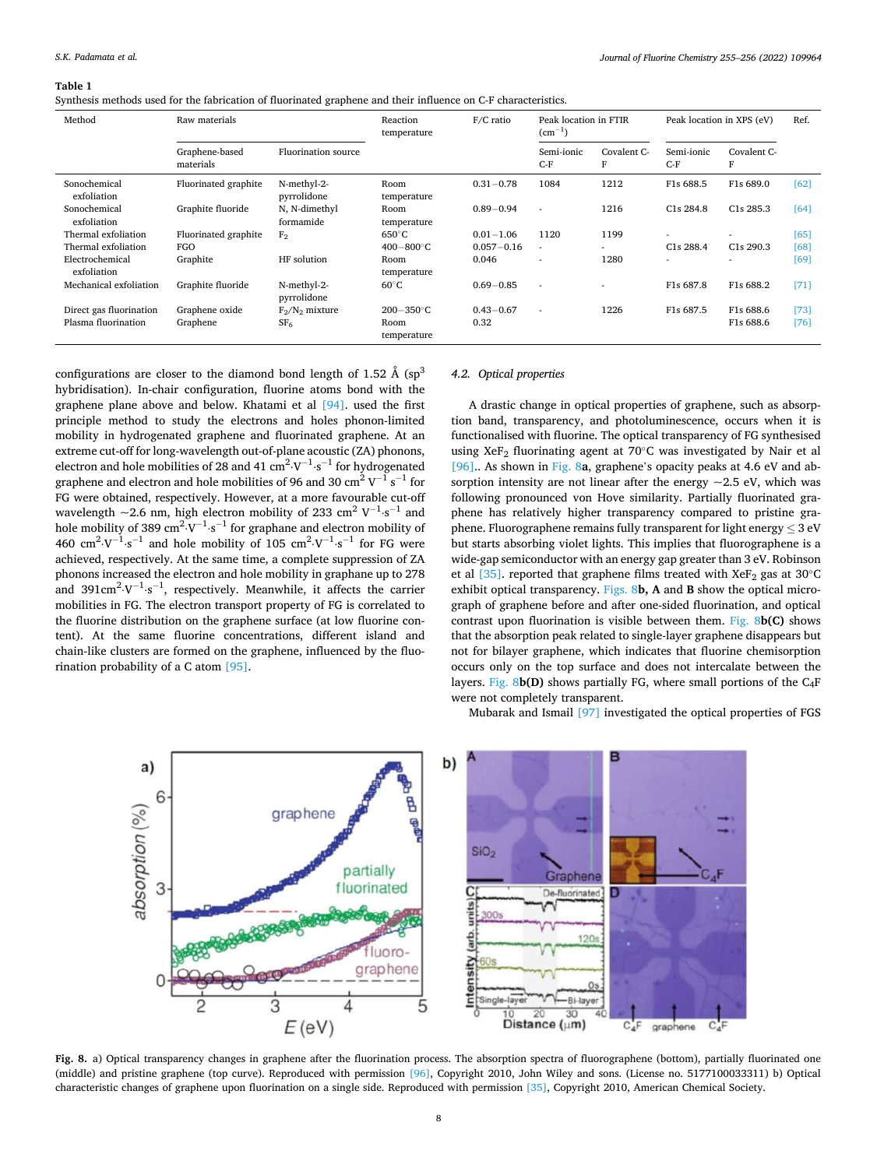#### <span id="page-7-0"></span>**Table 1**

Synthesis methods used for the fabrication of fluorinated graphene and their influence on C-F characteristics.

| Method                         | Raw materials               |                            | F/C ratio<br>Reaction<br>temperature |                | Peak location in FTIR<br>$(cm^{-1})$ |                  | Peak location in XPS (eV) |                        | Ref. |
|--------------------------------|-----------------------------|----------------------------|--------------------------------------|----------------|--------------------------------------|------------------|---------------------------|------------------------|------|
|                                | Graphene-based<br>materials | <b>Fluorination</b> source |                                      |                | Semi-ionic<br>$C-F$                  | Covalent C-<br>F | Semi-ionic<br>$C-F$       | Covalent C-<br>F       |      |
| Sonochemical<br>exfoliation    | Fluorinated graphite        | N-methyl-2-<br>pyrrolidone | Room<br>temperature                  | $0.31 - 0.78$  | 1084                                 | 1212             | F1s 688.5                 | F1s 689.0              | [62] |
| Sonochemical<br>exfoliation    | Graphite fluoride           | N, N-dimethyl<br>formamide | Room<br>temperature                  | $0.89 - 0.94$  | ×                                    | 1216             | C <sub>1</sub> s 284.8    | C <sub>1</sub> s 285.3 | [64] |
| Thermal exfoliation            | Fluorinated graphite        | F <sub>2</sub>             | $650^{\circ}$ C                      | $0.01 - 1.06$  | 1120                                 | 1199             |                           |                        | [65] |
| Thermal exfoliation            | FGO                         |                            | $400 - 800^{\circ}$ C                | $0.057 - 0.16$ | $\sim$                               |                  | C <sub>1</sub> s 288.4    | C <sub>1</sub> s 290.3 | [68] |
| Electrochemical<br>exfoliation | Graphite                    | HF solution                | Room<br>temperature                  | 0.046          |                                      | 1280             |                           | ٠                      | [69] |
| Mechanical exfoliation         | Graphite fluoride           | N-methyl-2-<br>pyrrolidone | $60^{\circ}$ C                       | $0.69 - 0.85$  | $\sim$                               |                  | F1s 687.8                 | F1s 688.2              | [71] |
| Direct gas fluorination        | Graphene oxide              | $F_2/N_2$ mixture          | $200 - 350$ °C                       | $0.43 - 0.67$  | $\sim$                               | 1226             | F1s 687.5                 | F1s 688.6              | [73] |
| Plasma fluorination            | Graphene                    | SF <sub>6</sub>            | Room<br>temperature                  | 0.32           |                                      |                  |                           | F1s 688.6              | [76] |

configurations are closer to the diamond bond length of 1.52  $\AA$  (sp<sup>3</sup>) hybridisation). In-chair configuration, fluorine atoms bond with the graphene plane above and below. Khatami et al [\[94\]](#page-13-0). used the first principle method to study the electrons and holes phonon-limited mobility in hydrogenated graphene and fluorinated graphene. At an extreme cut-off for long-wavelength out-of-plane acoustic (ZA) phonons, electron and hole mobilities of 28 and 41  $\text{cm}^2 \cdot \text{V}^{-1} \cdot \text{s}^{-1}$  for hydrogenated graphene and electron and hole mobilities of 96 and 30  $\rm cm^2\,V^{-1}\,s^{-1}$  for FG were obtained, respectively. However, at a more favourable cut-off wavelength  $\sim$ 2.6 nm, high electron mobility of 233 cm<sup>2</sup> V<sup>-1</sup>·s<sup>-1</sup> and hole mobility of 389  $\text{cm}^2 \cdot \text{V}^{-1} \cdot \text{s}^{-1}$  for graphane and electron mobility of 460 cm<sup>2</sup> $\cdot$ V<sup>-1</sup> $\cdot$ s<sup>-1</sup> and hole mobility of 105 cm<sup>2</sup> $\cdot$ V<sup>-1</sup> $\cdot$ s<sup>-1</sup> for FG were achieved, respectively. At the same time, a complete suppression of ZA phonons increased the electron and hole mobility in graphane up to 278 and 391 $\text{cm}^2 \cdot \text{V}^{-1} \cdot \text{s}^{-1}$ , respectively. Meanwhile, it affects the carrier mobilities in FG. The electron transport property of FG is correlated to the fluorine distribution on the graphene surface (at low fluorine content). At the same fluorine concentrations, different island and chain-like clusters are formed on the graphene, influenced by the fluorination probability of a C atom [\[95\].](#page-13-0)

# *4.2. Optical properties*

A drastic change in optical properties of graphene, such as absorption band, transparency, and photoluminescence, occurs when it is functionalised with fluorine. The optical transparency of FG synthesised using XeF<sub>2</sub> fluorinating agent at 70 $\degree$ C was investigated by Nair et al [\[96\]](#page-13-0).. As shown in Fig. 8**a**, graphene's opacity peaks at 4.6 eV and absorption intensity are not linear after the energy  $\sim$  2.5 eV, which was following pronounced von Hove similarity. Partially fluorinated graphene has relatively higher transparency compared to pristine graphene. Fluorographene remains fully transparent for light energy  $\leq 3$  eV but starts absorbing violet lights. This implies that fluorographene is a wide-gap semiconductor with an energy gap greater than 3 eV. Robinson et al  $[35]$ . reported that graphene films treated with XeF<sub>2</sub> gas at 30<sup>°</sup>C exhibit optical transparency. Figs. 8**b, A** and **B** show the optical micrograph of graphene before and after one-sided fluorination, and optical contrast upon fluorination is visible between them. Fig. 8**b(C)** shows that the absorption peak related to single-layer graphene disappears but not for bilayer graphene, which indicates that fluorine chemisorption occurs only on the top surface and does not intercalate between the layers. Fig. 8**b(D)** shows partially FG, where small portions of the C4F were not completely transparent.

Mubarak and Ismail [\[97\]](#page-13-0) investigated the optical properties of FGS



**Fig. 8.** a) Optical transparency changes in graphene after the fluorination process. The absorption spectra of fluorographene (bottom), partially fluorinated one (middle) and pristine graphene (top curve). Reproduced with permission [\[96\]](#page-13-0), Copyright 2010, John Wiley and sons. (License no. 5177100033311) b) Optical characteristic changes of graphene upon fluorination on a single side. Reproduced with permission [\[35\],](#page-12-0) Copyright 2010, American Chemical Society.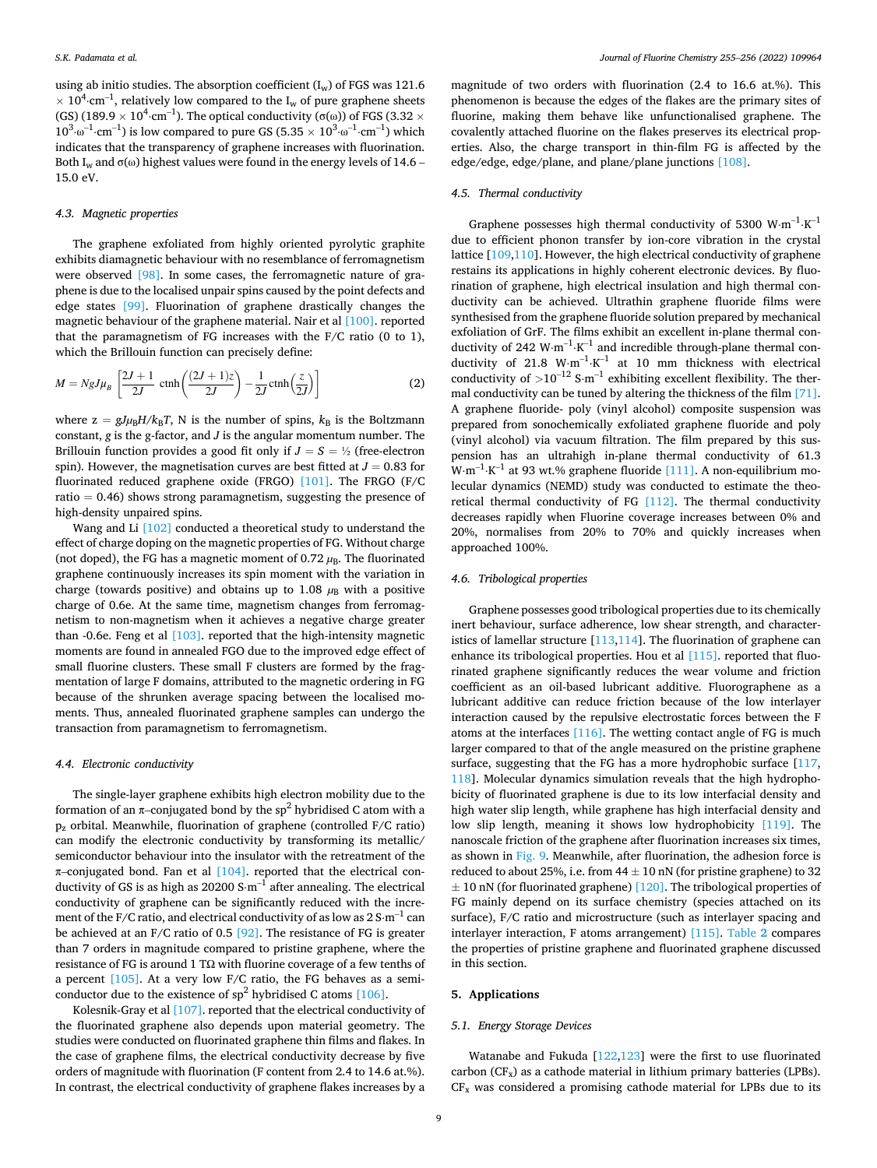using ab initio studies. The absorption coefficient  $(I_w)$  of FGS was 121.6  $\times$  10<sup>4</sup> cm<sup>-1</sup>, relatively low compared to the I<sub>w</sub> of pure graphene sheets (GS) (189.9  $\times$  10<sup>4.</sup>cm $^{-1}$ ). The optical conductivity (σ(ω)) of FGS (3.32  $\times$  $10^3 \cdot \omega^{-1} \cdot \text{cm}^{-1}$ ) is low compared to pure GS (5.35  $\times 10^3 \cdot \omega^{-1} \cdot \text{cm}^{-1}$ ) which indicates that the transparency of graphene increases with fluorination. Both I<sub>w</sub> and  $\sigma(\omega)$  highest values were found in the energy levels of 14.6 – 15.0 eV.

# *4.3. Magnetic properties*

The graphene exfoliated from highly oriented pyrolytic graphite exhibits diamagnetic behaviour with no resemblance of ferromagnetism were observed [\[98\].](#page-13-0) In some cases, the ferromagnetic nature of graphene is due to the localised unpair spins caused by the point defects and edge states [\[99\].](#page-13-0) Fluorination of graphene drastically changes the magnetic behaviour of the graphene material. Nair et al [\[100\]](#page-13-0). reported that the paramagnetism of FG increases with the F/C ratio (0 to 1), which the Brillouin function can precisely define:

$$
M = NgJ\mu_B \left[ \frac{2J+1}{2J} \ \text{ctnh} \left( \frac{(2J+1)z}{2J} \right) - \frac{1}{2J} \text{ctnh} \left( \frac{z}{2J} \right) \right]
$$
 (2)

where  $z = gJ\mu_B H/k_B T$ , N is the number of spins,  $k_B$  is the Boltzmann constant, *g* is the g-factor, and *J* is the angular momentum number. The Brillouin function provides a good fit only if  $J = S = \frac{1}{2}$  (free-electron spin). However, the magnetisation curves are best fitted at  $J = 0.83$  for fluorinated reduced graphene oxide (FRGO) [\[101\]](#page-13-0). The FRGO (F/C ratio  $= 0.46$ ) shows strong paramagnetism, suggesting the presence of high-density unpaired spins.

Wang and Li [\[102\]](#page-13-0) conducted a theoretical study to understand the effect of charge doping on the magnetic properties of FG. Without charge (not doped), the FG has a magnetic moment of  $0.72 \mu_B$ . The fluorinated graphene continuously increases its spin moment with the variation in charge (towards positive) and obtains up to 1.08  $\mu$ B with a positive charge of 0.6e. At the same time, magnetism changes from ferromagnetism to non-magnetism when it achieves a negative charge greater than -0.6e. Feng et al  $[103]$ . reported that the high-intensity magnetic moments are found in annealed FGO due to the improved edge effect of small fluorine clusters. These small F clusters are formed by the fragmentation of large F domains, attributed to the magnetic ordering in FG because of the shrunken average spacing between the localised moments. Thus, annealed fluorinated graphene samples can undergo the transaction from paramagnetism to ferromagnetism.

#### *4.4. Electronic conductivity*

The single-layer graphene exhibits high electron mobility due to the formation of an  $\pi$ -conjugated bond by the sp<sup>2</sup> hybridised C atom with a  $p_z$  orbital. Meanwhile, fluorination of graphene (controlled F/C ratio) can modify the electronic conductivity by transforming its metallic/ semiconductor behaviour into the insulator with the retreatment of the π–conjugated bond. Fan et al [\[104\]](#page-13-0). reported that the electrical conductivity of GS is as high as 20200 S $\cdot$ m $^{-1}$  after annealing. The electrical conductivity of graphene can be significantly reduced with the increment of the F/C ratio, and electrical conductivity of as low as 2 S⋅m $^{\rm -1}$  can be achieved at an F/C ratio of 0.5 [\[92\]](#page-13-0). The resistance of FG is greater than 7 orders in magnitude compared to pristine graphene, where the resistance of FG is around 1 TΩ with fluorine coverage of a few tenths of a percent  $[105]$ . At a very low F/C ratio, the FG behaves as a semiconductor due to the existence of  $sp^2$  hybridised C atoms [\[106\].](#page-13-0)

Kolesnik-Gray et al [\[107\].](#page-13-0) reported that the electrical conductivity of the fluorinated graphene also depends upon material geometry. The studies were conducted on fluorinated graphene thin films and flakes. In the case of graphene films, the electrical conductivity decrease by five orders of magnitude with fluorination (F content from 2.4 to 14.6 at.%). In contrast, the electrical conductivity of graphene flakes increases by a

magnitude of two orders with fluorination (2.4 to 16.6 at.%). This phenomenon is because the edges of the flakes are the primary sites of fluorine, making them behave like unfunctionalised graphene. The covalently attached fluorine on the flakes preserves its electrical properties. Also, the charge transport in thin-film FG is affected by the edge/edge, edge/plane, and plane/plane junctions [\[108\].](#page-13-0)

#### *4.5. Thermal conductivity*

Graphene possesses high thermal conductivity of 5300  $W·m^{-1}·K^{-1}$ due to efficient phonon transfer by ion-core vibration in the crystal lattice [[109,110\]](#page-13-0). However, the high electrical conductivity of graphene restains its applications in highly coherent electronic devices. By fluorination of graphene, high electrical insulation and high thermal conductivity can be achieved. Ultrathin graphene fluoride films were synthesised from the graphene fluoride solution prepared by mechanical exfoliation of GrF. The films exhibit an excellent in-plane thermal conductivity of 242  $W \cdot m^{-1} \cdot K^{-1}$  and incredible through-plane thermal conductivity of 21.8  $W \cdot m^{-1} \cdot K^{-1}$  at 10 mm thickness with electrical conductivity of  $>10^{-12}$  S⋅m<sup>-1</sup> exhibiting excellent flexibility. The thermal conductivity can be tuned by altering the thickness of the film [\[71\]](#page-12-0). A graphene fluoride- poly (vinyl alcohol) composite suspension was prepared from sonochemically exfoliated graphene fluoride and poly (vinyl alcohol) via vacuum filtration. The film prepared by this suspension has an ultrahigh in-plane thermal conductivity of 61.3  $W \cdot m^{-1} \cdot K^{-1}$  at 93 wt.% graphene fluoride [\[111\].](#page-13-0) A non-equilibrium molecular dynamics (NEMD) study was conducted to estimate the theoretical thermal conductivity of FG [\[112\]](#page-13-0). The thermal conductivity decreases rapidly when Fluorine coverage increases between 0% and 20%, normalises from 20% to 70% and quickly increases when approached 100%.

#### *4.6. Tribological properties*

Graphene possesses good tribological properties due to its chemically inert behaviour, surface adherence, low shear strength, and characteristics of lamellar structure  $[113, 114]$ . The fluorination of graphene can enhance its tribological properties. Hou et al [\[115\].](#page-13-0) reported that fluorinated graphene significantly reduces the wear volume and friction coefficient as an oil-based lubricant additive. Fluorographene as a lubricant additive can reduce friction because of the low interlayer interaction caused by the repulsive electrostatic forces between the F atoms at the interfaces  $[116]$ . The wetting contact angle of FG is much larger compared to that of the angle measured on the pristine graphene surface, suggesting that the FG has a more hydrophobic surface [[117](#page-13-0), [118](#page-13-0)]. Molecular dynamics simulation reveals that the high hydrophobicity of fluorinated graphene is due to its low interfacial density and high water slip length, while graphene has high interfacial density and low slip length, meaning it shows low hydrophobicity [\[119\].](#page-13-0) The nanoscale friction of the graphene after fluorination increases six times, as shown in [Fig. 9.](#page-9-0) Meanwhile, after fluorination, the adhesion force is reduced to about 25%, i.e. from  $44 \pm 10$  nN (for pristine graphene) to 32  $\pm$  10 nN (for fluorinated graphene) [\[120\].](#page-13-0) The tribological properties of FG mainly depend on its surface chemistry (species attached on its surface), F/C ratio and microstructure (such as interlayer spacing and interlayer interaction, F atoms arrangement) [\[115\]](#page-13-0). [Table](#page-9-0) **2** compares the properties of pristine graphene and fluorinated graphene discussed in this section.

#### **5. Applications**

# *5.1. Energy Storage Devices*

Watanabe and Fukuda [[122](#page-13-0),[123](#page-13-0)] were the first to use fluorinated carbon  $(CF_x)$  as a cathode material in lithium primary batteries (LPBs).  $CF<sub>x</sub>$  was considered a promising cathode material for LPBs due to its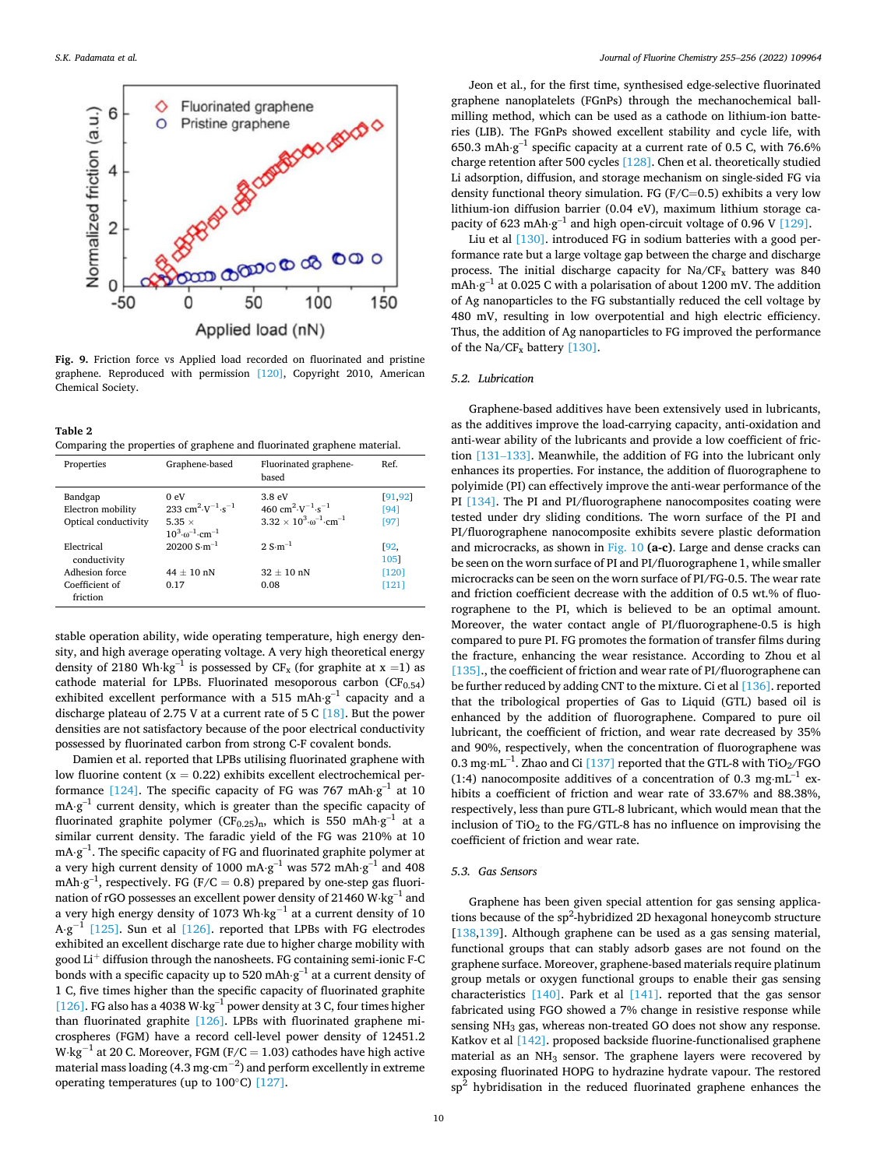<span id="page-9-0"></span>

**Fig. 9.** Friction force vs Applied load recorded on fluorinated and pristine graphene. Reproduced with permission [\[120\],](#page-13-0) Copyright 2010, American Chemical Society.

**Table 2**  Comparing the properties of graphene and fluorinated graphene material.

| Properties           | Graphene-based                                                      | Fluorinated graphene-<br>based                                      | Ref.        |
|----------------------|---------------------------------------------------------------------|---------------------------------------------------------------------|-------------|
| Bandgap              | 0eV                                                                 | 3.8 eV                                                              | [91, 92]    |
| Electron mobility    | 233 cm <sup>2</sup> $\cdot$ V <sup>-1</sup> $\cdot$ s <sup>-1</sup> | 460 cm <sup>2</sup> $\cdot$ V <sup>-1</sup> $\cdot$ s <sup>-1</sup> | [94]        |
| Optical conductivity | 5.35 $\times$                                                       | $3.32 \times 10^{3} \cdot \omega^{-1} \cdot \text{cm}^{-1}$         | [97]        |
|                      | $10^3 \cdot \omega^{-1} \cdot \text{cm}^{-1}$                       |                                                                     |             |
| Electrical           | $20200 S·m^{-1}$                                                    | $2.5 \text{ m}^{-1}$                                                | <b>192.</b> |
| conductivity         |                                                                     |                                                                     | 1051        |
| Adhesion force       | $44 + 10$ nN                                                        | $32 + 10$ nN                                                        | [120]       |
| Coefficient of       | 0.17                                                                | 0.08                                                                | $[121]$     |
| friction             |                                                                     |                                                                     |             |

stable operation ability, wide operating temperature, high energy density, and high average operating voltage. A very high theoretical energy density of 2180 Wh⋅kg<sup>-1</sup> is possessed by CF<sub>x</sub> (for graphite at x =1) as cathode material for LPBs. Fluorinated mesoporous carbon  $(CF_{0.54})$ exhibited excellent performance with a 515 mAh $\cdot$ g $^{-1}$  capacity and a discharge plateau of 2.75 V at a current rate of 5 C [\[18\]](#page-11-0). But the power densities are not satisfactory because of the poor electrical conductivity possessed by fluorinated carbon from strong C-F covalent bonds.

Damien et al. reported that LPBs utilising fluorinated graphene with low fluorine content  $(x = 0.22)$  exhibits excellent electrochemical per-formance [\[124\]](#page-13-0). The specific capacity of FG was 767 mAh $\cdot$ g $^{-1}$  at 10 mA $\cdot$ g $^{-1}$  current density, which is greater than the specific capacity of fluorinated graphite polymer (CF<sub>0.25</sub>)<sub>n</sub>, which is 550 mAh⋅g<sup>-1</sup> at a similar current density. The faradic yield of the FG was 210% at 10 mA⋅g $^{-1}$ . The specific capacity of FG and fluorinated graphite polymer at a very high current density of 1000 mA⋅g<sup>-1</sup> was 572 mAh⋅g<sup>-1</sup> and 408 mAh $\cdot$ g $^{-1}$ , respectively. FG (F/C = 0.8) prepared by one-step gas fluorination of rGO possesses an excellent power density of 21460 W⋅kg<sup>-1</sup> and a very high energy density of 1073 Wh⋅kg−1 at a current density of 10  $A \cdot g^{-1}$  [\[125\]](#page-13-0). Sun et al [\[126\]](#page-13-0). reported that LPBs with FG electrodes exhibited an excellent discharge rate due to higher charge mobility with good Li $^{\mathrm{+}}$  diffusion through the nanosheets. FG containing semi-ionic F-C bonds with a specific capacity up to 520 mAh $\cdot$ g $^{-1}$  at a current density of 1 C, five times higher than the specific capacity of fluorinated graphite [\[126\].](#page-13-0) FG also has a 4038 W⋅kg<sup>-1</sup> power density at 3 C, four times higher than fluorinated graphite [\[126\].](#page-13-0) LPBs with fluorinated graphene microspheres (FGM) have a record cell-level power density of 12451.2 W⋅kg<sup>-1</sup> at 20 C. Moreover, FGM (F/C = 1.03) cathodes have high active material mass loading (4.3 mg⋅cm $^{-2}$ ) and perform excellently in extreme operating temperatures (up to 100◦C) [\[127\].](#page-13-0)

Jeon et al., for the first time, synthesised edge-selective fluorinated graphene nanoplatelets (FGnPs) through the mechanochemical ballmilling method, which can be used as a cathode on lithium-ion batteries (LIB). The FGnPs showed excellent stability and cycle life, with 650.3 mAh⋅ $g^{-1}$  specific capacity at a current rate of 0.5 C, with 76.6% charge retention after 500 cycles [\[128\].](#page-13-0) Chen et al. theoretically studied Li adsorption, diffusion, and storage mechanism on single-sided FG via density functional theory simulation. FG  $(F/C=0.5)$  exhibits a very low lithium-ion diffusion barrier (0.04 eV), maximum lithium storage ca-pacity of 623 mAh⋅g<sup>-1</sup> and high open-circuit voltage of 0.96 V [\[129\].](#page-13-0)

Liu et al [\[130\]](#page-13-0). introduced FG in sodium batteries with a good performance rate but a large voltage gap between the charge and discharge process. The initial discharge capacity for  $Na/CF<sub>x</sub>$  battery was 840 mAh⋅g<sup>-1</sup> at 0.025 C with a polarisation of about 1200 mV. The addition of Ag nanoparticles to the FG substantially reduced the cell voltage by 480 mV, resulting in low overpotential and high electric efficiency. Thus, the addition of Ag nanoparticles to FG improved the performance of the Na/CF<sub>y</sub> battery [\[130\].](#page-13-0)

## *5.2. Lubrication*

Graphene-based additives have been extensively used in lubricants, as the additives improve the load-carrying capacity, anti-oxidation and anti-wear ability of the lubricants and provide a low coefficient of friction [\[131](#page-13-0)–133]. Meanwhile, the addition of FG into the lubricant only enhances its properties. For instance, the addition of fluorographene to polyimide (PI) can effectively improve the anti-wear performance of the PI [\[134\].](#page-13-0) The PI and PI/fluorographene nanocomposites coating were tested under dry sliding conditions. The worn surface of the PI and PI/fluorographene nanocomposite exhibits severe plastic deformation and microcracks, as shown in [Fig. 10](#page-10-0) **(a-c)**. Large and dense cracks can be seen on the worn surface of PI and PI/fluorographene 1, while smaller microcracks can be seen on the worn surface of PI/FG-0.5. The wear rate and friction coefficient decrease with the addition of 0.5 wt.% of fluorographene to the PI, which is believed to be an optimal amount. Moreover, the water contact angle of PI/fluorographene-0.5 is high compared to pure PI. FG promotes the formation of transfer films during the fracture, enhancing the wear resistance. According to Zhou et al [\[135\].](#page-13-0), the coefficient of friction and wear rate of PI/fluorographene can be further reduced by adding CNT to the mixture. Ci et al [\[136\].](#page-13-0) reported that the tribological properties of Gas to Liquid (GTL) based oil is enhanced by the addition of fluorographene. Compared to pure oil lubricant, the coefficient of friction, and wear rate decreased by 35% and 90%, respectively, when the concentration of fluorographene was  $0.3\,\mathrm{mg}\,\mathrm{mL}^{-1}$ . Zhao and Ci $[137]$  reported that the GTL-8 with TiO2/FGO (1:4) nanocomposite additives of a concentration of 0.3 mg⋅mL<sup>-1</sup> exhibits a coefficient of friction and wear rate of 33.67% and 88.38%, respectively, less than pure GTL-8 lubricant, which would mean that the inclusion of  $TiO<sub>2</sub>$  to the FG/GTL-8 has no influence on improvising the coefficient of friction and wear rate.

# *5.3. Gas Sensors*

Graphene has been given special attention for gas sensing applications because of the  $sp^2$ -hybridized 2D hexagonal honeycomb structure [[138](#page-13-0),[139](#page-13-0)]. Although graphene can be used as a gas sensing material, functional groups that can stably adsorb gases are not found on the graphene surface. Moreover, graphene-based materials require platinum group metals or oxygen functional groups to enable their gas sensing characteristics [\[140\]](#page-13-0). Park et al [\[141\].](#page-13-0) reported that the gas sensor fabricated using FGO showed a 7% change in resistive response while sensing NH3 gas, whereas non-treated GO does not show any response. Katkov et al [\[142\]](#page-13-0). proposed backside fluorine-functionalised graphene material as an  $NH<sub>3</sub>$  sensor. The graphene layers were recovered by exposing fluorinated HOPG to hydrazine hydrate vapour. The restored  $sp<sup>2</sup>$  hybridisation in the reduced fluorinated graphene enhances the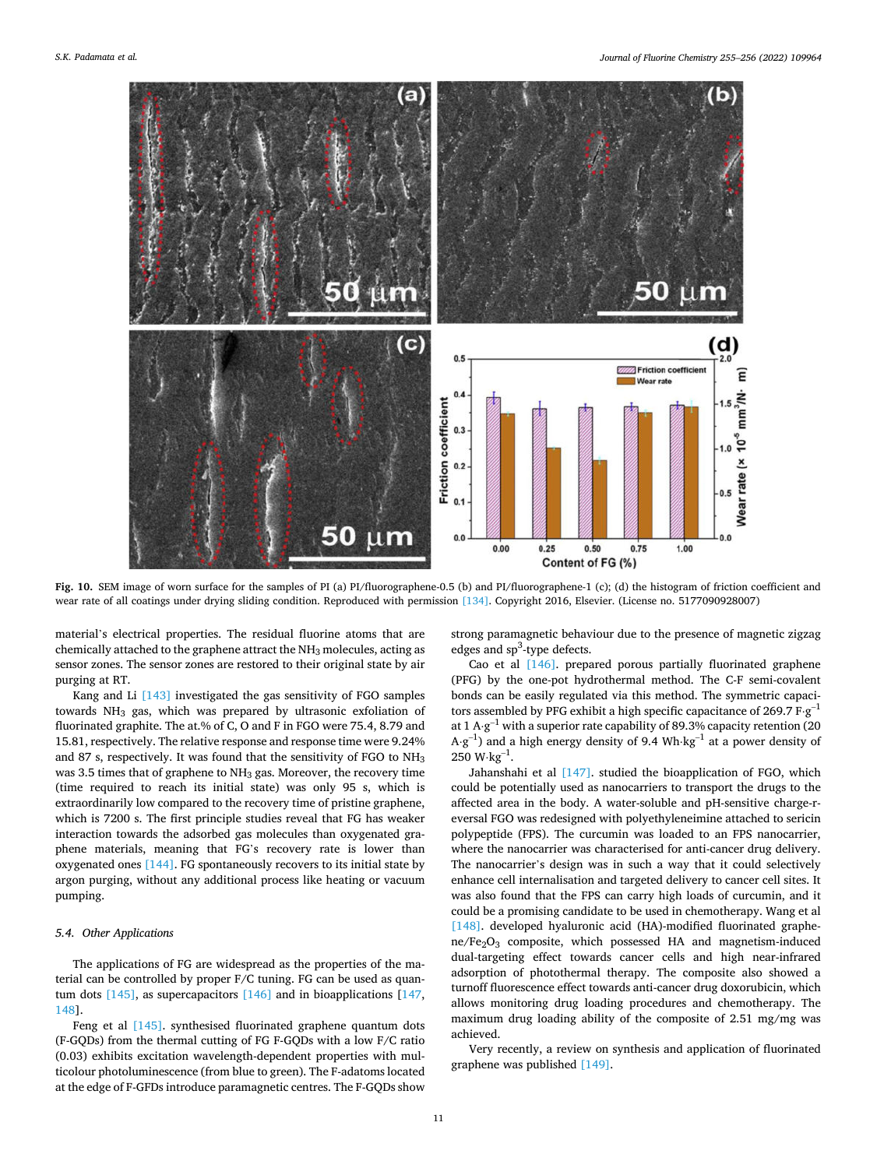<span id="page-10-0"></span>

**Fig. 10.** SEM image of worn surface for the samples of PI (a) PI/fluorographene-0.5 (b) and PI/fluorographene-1 (c); (d) the histogram of friction coefficient and wear rate of all coatings under drying sliding condition. Reproduced with permission [\[134\]](#page-13-0). Copyright 2016, Elsevier. (License no. 5177090928007)

material's electrical properties. The residual fluorine atoms that are chemically attached to the graphene attract the  $NH<sub>3</sub>$  molecules, acting as sensor zones. The sensor zones are restored to their original state by air purging at RT.

Kang and Li [\[143\]](#page-13-0) investigated the gas sensitivity of FGO samples towards NH3 gas, which was prepared by ultrasonic exfoliation of fluorinated graphite. The at.% of C, O and F in FGO were 75.4, 8.79 and 15.81, respectively. The relative response and response time were 9.24% and 87 s, respectively. It was found that the sensitivity of FGO to NH<sup>3</sup> was 3.5 times that of graphene to  $NH<sub>3</sub>$  gas. Moreover, the recovery time (time required to reach its initial state) was only 95 s, which is extraordinarily low compared to the recovery time of pristine graphene, which is 7200 s. The first principle studies reveal that FG has weaker interaction towards the adsorbed gas molecules than oxygenated graphene materials, meaning that FG's recovery rate is lower than oxygenated ones [\[144\]](#page-13-0). FG spontaneously recovers to its initial state by argon purging, without any additional process like heating or vacuum pumping.

# *5.4. Other Applications*

The applications of FG are widespread as the properties of the material can be controlled by proper F/C tuning. FG can be used as quantum dots [\[145\]](#page-13-0), as supercapacitors [\[146\]](#page-13-0) and in bioapplications [\[147](#page-13-0), [148](#page-13-0)].

Feng et al [\[145\]](#page-13-0). synthesised fluorinated graphene quantum dots (F-GQDs) from the thermal cutting of FG F-GQDs with a low F/C ratio (0.03) exhibits excitation wavelength-dependent properties with multicolour photoluminescence (from blue to green). The F-adatoms located at the edge of F-GFDs introduce paramagnetic centres. The F-GQDs show

strong paramagnetic behaviour due to the presence of magnetic zigzag edges and sp<sup>3</sup>-type defects.

Cao et al [\[146\].](#page-13-0) prepared porous partially fluorinated graphene (PFG) by the one-pot hydrothermal method. The C-F semi-covalent bonds can be easily regulated via this method. The symmetric capacitors assembled by PFG exhibit a high specific capacitance of 269.7  $F·g^{-1}$ at 1 A⋅g<sup>-1</sup> with a superior rate capability of 89.3% capacity retention (20  $A·g^{-1}$ ) and a high energy density of 9.4 Wh⋅kg<sup>-1</sup> at a power density of  $250 W kg^{-1}$ .

Jahanshahi et al [\[147\].](#page-13-0) studied the bioapplication of FGO, which could be potentially used as nanocarriers to transport the drugs to the affected area in the body. A water-soluble and pH-sensitive charge-reversal FGO was redesigned with polyethyleneimine attached to sericin polypeptide (FPS). The curcumin was loaded to an FPS nanocarrier, where the nanocarrier was characterised for anti-cancer drug delivery. The nanocarrier's design was in such a way that it could selectively enhance cell internalisation and targeted delivery to cancer cell sites. It was also found that the FPS can carry high loads of curcumin, and it could be a promising candidate to be used in chemotherapy. Wang et al [\[148\].](#page-13-0) developed hyaluronic acid (HA)-modified fluorinated graphene/Fe2O3 composite, which possessed HA and magnetism-induced dual-targeting effect towards cancer cells and high near-infrared adsorption of photothermal therapy. The composite also showed a turnoff fluorescence effect towards anti-cancer drug doxorubicin, which allows monitoring drug loading procedures and chemotherapy. The maximum drug loading ability of the composite of 2.51 mg/mg was achieved.

Very recently, a review on synthesis and application of fluorinated graphene was published [\[149\].](#page-13-0)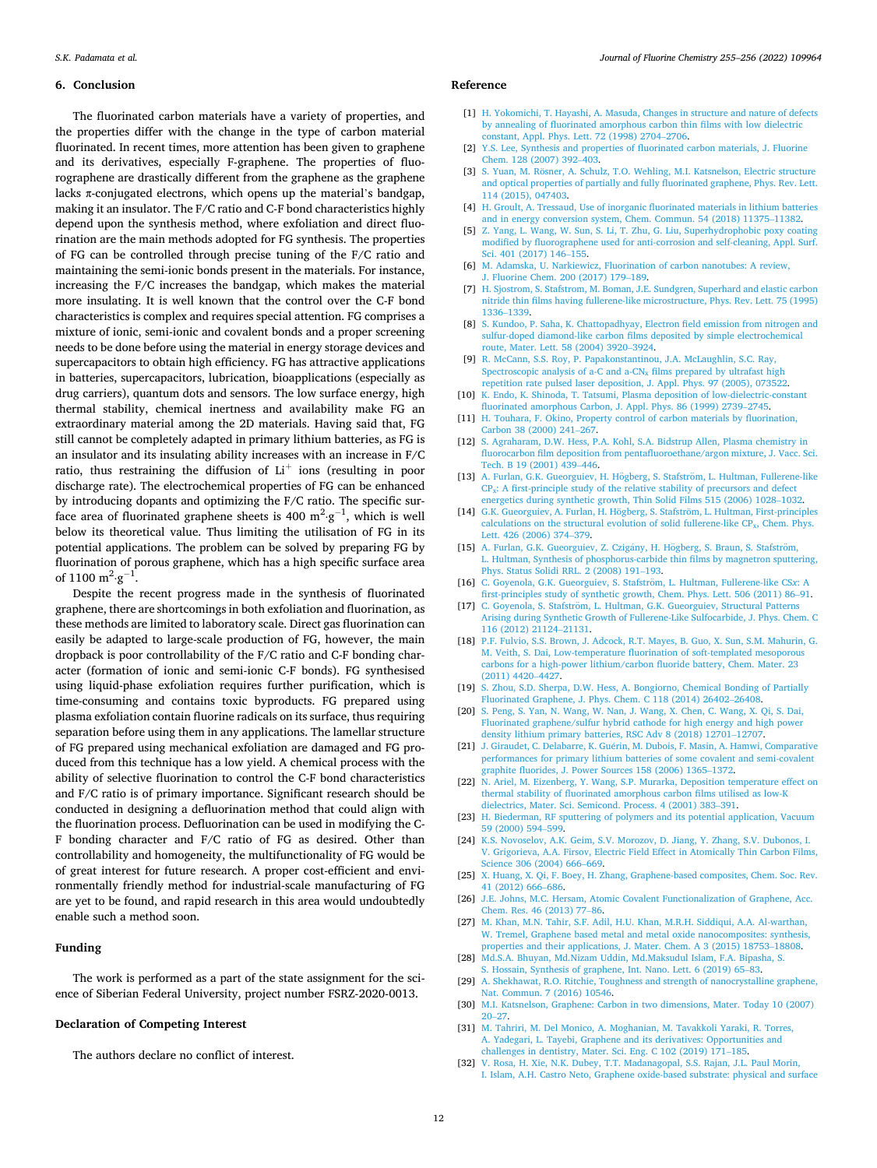#### <span id="page-11-0"></span>**6. Conclusion**

The fluorinated carbon materials have a variety of properties, and the properties differ with the change in the type of carbon material fluorinated. In recent times, more attention has been given to graphene and its derivatives, especially F-graphene. The properties of fluorographene are drastically different from the graphene as the graphene lacks π-conjugated electrons, which opens up the material's bandgap, making it an insulator. The F/C ratio and C-F bond characteristics highly depend upon the synthesis method, where exfoliation and direct fluorination are the main methods adopted for FG synthesis. The properties of FG can be controlled through precise tuning of the F/C ratio and maintaining the semi-ionic bonds present in the materials. For instance, increasing the F/C increases the bandgap, which makes the material more insulating. It is well known that the control over the C-F bond characteristics is complex and requires special attention. FG comprises a mixture of ionic, semi-ionic and covalent bonds and a proper screening needs to be done before using the material in energy storage devices and supercapacitors to obtain high efficiency. FG has attractive applications in batteries, supercapacitors, lubrication, bioapplications (especially as drug carriers), quantum dots and sensors. The low surface energy, high thermal stability, chemical inertness and availability make FG an extraordinary material among the 2D materials. Having said that, FG still cannot be completely adapted in primary lithium batteries, as FG is an insulator and its insulating ability increases with an increase in F/C ratio, thus restraining the diffusion of  $Li^+$  ions (resulting in poor discharge rate). The electrochemical properties of FG can be enhanced by introducing dopants and optimizing the F/C ratio. The specific surface area of fluorinated graphene sheets is 400  $\mathrm{m}^2 \cdot \mathrm{g}^{-1}$ , which is well below its theoretical value. Thus limiting the utilisation of FG in its potential applications. The problem can be solved by preparing FG by fluorination of porous graphene, which has a high specific surface area of  $1100 \text{ m}^2 \text{·} \text{g}^{-1}$ .

Despite the recent progress made in the synthesis of fluorinated graphene, there are shortcomings in both exfoliation and fluorination, as these methods are limited to laboratory scale. Direct gas fluorination can easily be adapted to large-scale production of FG, however, the main dropback is poor controllability of the F/C ratio and C-F bonding character (formation of ionic and semi-ionic C-F bonds). FG synthesised using liquid-phase exfoliation requires further purification, which is time-consuming and contains toxic byproducts. FG prepared using plasma exfoliation contain fluorine radicals on its surface, thus requiring separation before using them in any applications. The lamellar structure of FG prepared using mechanical exfoliation are damaged and FG produced from this technique has a low yield. A chemical process with the ability of selective fluorination to control the C-F bond characteristics and F/C ratio is of primary importance. Significant research should be conducted in designing a defluorination method that could align with the fluorination process. Defluorination can be used in modifying the C-F bonding character and F/C ratio of FG as desired. Other than controllability and homogeneity, the multifunctionality of FG would be of great interest for future research. A proper cost-efficient and environmentally friendly method for industrial-scale manufacturing of FG are yet to be found, and rapid research in this area would undoubtedly enable such a method soon.

#### **Funding**

The work is performed as a part of the state assignment for the science of Siberian Federal University, project number FSRZ-2020-0013.

# **Declaration of Competing Interest**

The authors declare no conflict of interest.

#### **Reference**

- [1] [H. Yokomichi, T. Hayashi, A. Masuda, Changes in structure and nature of defects](http://refhub.elsevier.com/S0022-1139(22)00018-5/sbref0001)  [by annealing of fluorinated amorphous carbon thin films with low dielectric](http://refhub.elsevier.com/S0022-1139(22)00018-5/sbref0001) [constant, Appl. Phys. Lett. 72 \(1998\) 2704](http://refhub.elsevier.com/S0022-1139(22)00018-5/sbref0001)–2706.
- [2] [Y.S. Lee, Synthesis and properties of fluorinated carbon materials, J. Fluorine](http://refhub.elsevier.com/S0022-1139(22)00018-5/sbref0002)  [Chem. 128 \(2007\) 392](http://refhub.elsevier.com/S0022-1139(22)00018-5/sbref0002)–403.
- [3] S. Yuan, M. Rösner, A. Schulz, T.O. Wehling, M.I. Katsnelson, Electric structure [and optical properties of partially and fully fluorinated graphene, Phys. Rev. Lett.](http://refhub.elsevier.com/S0022-1139(22)00018-5/sbref0003)  [114 \(2015\), 047403.](http://refhub.elsevier.com/S0022-1139(22)00018-5/sbref0003)
- [4] H. Groult, A. Tressaud, Use of inorganic fluorinated materials in lithium batteries [and in energy conversion system, Chem. Commun. 54 \(2018\) 11375](http://refhub.elsevier.com/S0022-1139(22)00018-5/sbref0004)–11382.
- [5] [Z. Yang, L. Wang, W. Sun, S. Li, T. Zhu, G. Liu, Superhydrophobic poxy coating](http://refhub.elsevier.com/S0022-1139(22)00018-5/sbref0005)  [modified by fluorographene used for anti-corrosion and self-cleaning, Appl. Surf.](http://refhub.elsevier.com/S0022-1139(22)00018-5/sbref0005)  [Sci. 401 \(2017\) 146](http://refhub.elsevier.com/S0022-1139(22)00018-5/sbref0005)–155.
- [6] [M. Adamska, U. Narkiewicz, Fluorination of carbon nanotubes: A review,](http://refhub.elsevier.com/S0022-1139(22)00018-5/sbref0006)  [J. Fluorine Chem. 200 \(2017\) 179](http://refhub.elsevier.com/S0022-1139(22)00018-5/sbref0006)–189.
- [7] [H. Sjostrom, S. Stafstrom, M. Boman, J.E. Sundgren, Superhard and elastic carbon](http://refhub.elsevier.com/S0022-1139(22)00018-5/sbref0007)  [nitride thin films having fullerene-like microstructure, Phys. Rev. Lett. 75 \(1995\)](http://refhub.elsevier.com/S0022-1139(22)00018-5/sbref0007)  1336–[1339](http://refhub.elsevier.com/S0022-1139(22)00018-5/sbref0007).
- [8] [S. Kundoo, P. Saha, K. Chattopadhyay, Electron field emission from nitrogen and](http://refhub.elsevier.com/S0022-1139(22)00018-5/sbref0008)  [sulfur-doped diamond-like carbon films deposited by simple electrochemical](http://refhub.elsevier.com/S0022-1139(22)00018-5/sbref0008) [route, Mater. Lett. 58 \(2004\) 3920](http://refhub.elsevier.com/S0022-1139(22)00018-5/sbref0008)–3924.
- [9] [R. McCann, S.S. Roy, P. Papakonstantinou, J.A. McLaughlin, S.C. Ray,](http://refhub.elsevier.com/S0022-1139(22)00018-5/sbref0009)  Spectroscopic analysis of  $a-C$  and  $a-CN<sub>x</sub>$  films prepared by ultrafast high [repetition rate pulsed laser deposition, J. Appl. Phys. 97 \(2005\), 073522.](http://refhub.elsevier.com/S0022-1139(22)00018-5/sbref0009)
- [10] [K. Endo, K. Shinoda, T. Tatsumi, Plasma deposition of low-dielectric-constant](http://refhub.elsevier.com/S0022-1139(22)00018-5/sbref0010) [fluorinated amorphous Carbon, J. Appl. Phys. 86 \(1999\) 2739](http://refhub.elsevier.com/S0022-1139(22)00018-5/sbref0010)–2745.
- [11] H. Touhara, F. Okino, Property control of carbon materials by fluorination [Carbon 38 \(2000\) 241](http://refhub.elsevier.com/S0022-1139(22)00018-5/sbref0011)–267.
- [12] [S. Agraharam, D.W. Hess, P.A. Kohl, S.A. Bidstrup Allen, Plasma chemistry in](http://refhub.elsevier.com/S0022-1139(22)00018-5/sbref0012)  [fluorocarbon film deposition from pentafluoroethane/argon mixture, J. Vacc. Sci.](http://refhub.elsevier.com/S0022-1139(22)00018-5/sbref0012)  [Tech. B 19 \(2001\) 439](http://refhub.elsevier.com/S0022-1139(22)00018-5/sbref0012)–446.
- [13] A. Furlan, G.K. Gueorguiev, H. Högberg, S. Stafström, L. Hultman, Fullerene-like CPx[: A first-principle study of the relative stability of precursors and defect](http://refhub.elsevier.com/S0022-1139(22)00018-5/sbref0013) [energetics during synthetic growth, Thin Solid Films 515 \(2006\) 1028](http://refhub.elsevier.com/S0022-1139(22)00018-5/sbref0013)–1032.
- [14] G.K. Gueorguiev, A. Furlan, H. Högberg, S. Stafström, L. Hultman, First-principles [calculations on the structural evolution of solid fullerene-like CP](http://refhub.elsevier.com/S0022-1139(22)00018-5/sbref0014)<sub>x</sub>, Chem. Phys. [Lett. 426 \(2006\) 374](http://refhub.elsevier.com/S0022-1139(22)00018-5/sbref0014)–379.
- [15] A. Furlan, G.K. Gueorguiev, Z. Czigány, H. Högberg, S. Braun, S. Stafström, [L. Hultman, Synthesis of phosphorus-carbide thin films by magnetron sputtering,](http://refhub.elsevier.com/S0022-1139(22)00018-5/sbref0015)  [Phys. Status Solidi RRL. 2 \(2008\) 191](http://refhub.elsevier.com/S0022-1139(22)00018-5/sbref0015)–193.
- [16] C. Goyenola, G.K. Gueorguiev, S. Stafström, L. Hultman, Fullerene-like CSx: A [first-principles study of synthetic growth, Chem. Phys. Lett. 506 \(2011\) 86](http://refhub.elsevier.com/S0022-1139(22)00018-5/sbref0016)–91.
- [17] C. Goyenola, S. Stafström, L. Hultman, G.K. Gueorguiev, Structural Patterns [Arising during Synthetic Growth of Fullerene-Like Sulfocarbide, J. Phys. Chem. C](http://refhub.elsevier.com/S0022-1139(22)00018-5/sbref0017)  [116 \(2012\) 21124](http://refhub.elsevier.com/S0022-1139(22)00018-5/sbref0017)–21131.
- [18] [P.F. Fulvio, S.S. Brown, J. Adcock, R.T. Mayes, B. Guo, X. Sun, S.M. Mahurin, G.](http://refhub.elsevier.com/S0022-1139(22)00018-5/sbref0018)  [M. Veith, S. Dai, Low-temperature fluorination of soft-templated mesoporous](http://refhub.elsevier.com/S0022-1139(22)00018-5/sbref0018)  [carbons for a high-power lithium/carbon fluoride battery, Chem. Mater. 23](http://refhub.elsevier.com/S0022-1139(22)00018-5/sbref0018) [\(2011\) 4420](http://refhub.elsevier.com/S0022-1139(22)00018-5/sbref0018)–4427.
- [19] [S. Zhou, S.D. Sherpa, D.W. Hess, A. Bongiorno, Chemical Bonding of Partially](http://refhub.elsevier.com/S0022-1139(22)00018-5/sbref0019) [Fluorinated Graphene, J. Phys. Chem. C 118 \(2014\) 26402](http://refhub.elsevier.com/S0022-1139(22)00018-5/sbref0019)–26408.
- [20] [S. Peng, S. Yan, N. Wang, W. Nan, J. Wang, X. Chen, C. Wang, X. Qi, S. Dai,](http://refhub.elsevier.com/S0022-1139(22)00018-5/sbref0020) [Fluorinated graphene/sulfur hybrid cathode for high energy and high power](http://refhub.elsevier.com/S0022-1139(22)00018-5/sbref0020)  [density lithium primary batteries, RSC Adv 8 \(2018\) 12701](http://refhub.elsevier.com/S0022-1139(22)00018-5/sbref0020)–12707.
- [21] J. Giraudet, C. Delabarre, K. Guérin, M. Dubois, F. Masin, A. Hamwi, Comparative [performances for primary lithium batteries of some covalent and semi-covalent](http://refhub.elsevier.com/S0022-1139(22)00018-5/sbref0021) [graphite fluorides, J. Power Sources 158 \(2006\) 1365](http://refhub.elsevier.com/S0022-1139(22)00018-5/sbref0021)–1372.
- [22] [N. Ariel, M. Eizenberg, Y. Wang, S.P. Murarka, Deposition temperature effect on](http://refhub.elsevier.com/S0022-1139(22)00018-5/sbref0022)  [thermal stability of fluorinated amorphous carbon films utilised as low-K](http://refhub.elsevier.com/S0022-1139(22)00018-5/sbref0022)  [dielectrics, Mater. Sci. Semicond. Process. 4 \(2001\) 383](http://refhub.elsevier.com/S0022-1139(22)00018-5/sbref0022)–391.
- [23] [H. Biederman, RF sputtering of polymers and its potential application, Vacuum](http://refhub.elsevier.com/S0022-1139(22)00018-5/sbref0023) [59 \(2000\) 594](http://refhub.elsevier.com/S0022-1139(22)00018-5/sbref0023)–599.
- K.S. Novoselov, A.K. Geim, S.V. Morozov, D. Jiang, Y. Zhang, S.V. Dubonos, I. [V. Grigorieva, A.A. Firsov, Electric Field Effect in Atomically Thin Carbon Films,](http://refhub.elsevier.com/S0022-1139(22)00018-5/sbref0024)  [Science 306 \(2004\) 666](http://refhub.elsevier.com/S0022-1139(22)00018-5/sbref0024)–669.
- [25] [X. Huang, X. Qi, F. Boey, H. Zhang, Graphene-based composites, Chem. Soc. Rev.](http://refhub.elsevier.com/S0022-1139(22)00018-5/sbref0025)  [41 \(2012\) 666](http://refhub.elsevier.com/S0022-1139(22)00018-5/sbref0025)–686.
- [J.E. Johns, M.C. Hersam, Atomic Covalent Functionalization of Graphene, Acc.](http://refhub.elsevier.com/S0022-1139(22)00018-5/sbref0026) [Chem. Res. 46 \(2013\) 77](http://refhub.elsevier.com/S0022-1139(22)00018-5/sbref0026)–86.
- [27] [M. Khan, M.N. Tahir, S.F. Adil, H.U. Khan, M.R.H. Siddiqui, A.A. Al-warthan,](http://refhub.elsevier.com/S0022-1139(22)00018-5/sbref0027)  [W. Tremel, Graphene based metal and metal oxide nanocomposites: synthesis,](http://refhub.elsevier.com/S0022-1139(22)00018-5/sbref0027)  [properties and their applications, J. Mater. Chem. A 3 \(2015\) 18753](http://refhub.elsevier.com/S0022-1139(22)00018-5/sbref0027)–18808.
- [28] [Md.S.A. Bhuyan, Md.Nizam Uddin, Md.Maksudul Islam, F.A. Bipasha, S.](http://refhub.elsevier.com/S0022-1139(22)00018-5/sbref0028) [S. Hossain, Synthesis of graphene, Int. Nano. Lett. 6 \(2019\) 65](http://refhub.elsevier.com/S0022-1139(22)00018-5/sbref0028)–83.
- [29] [A. Shekhawat, R.O. Ritchie, Toughness and strength of nanocrystalline graphene,](http://refhub.elsevier.com/S0022-1139(22)00018-5/sbref0029)  [Nat. Commun. 7 \(2016\) 10546](http://refhub.elsevier.com/S0022-1139(22)00018-5/sbref0029).
- [30] [M.I. Katsnelson, Graphene: Carbon in two dimensions, Mater. Today 10 \(2007\)](http://refhub.elsevier.com/S0022-1139(22)00018-5/sbref0030) 20–[27.](http://refhub.elsevier.com/S0022-1139(22)00018-5/sbref0030)
- [31] [M. Tahriri, M. Del Monico, A. Moghanian, M. Tavakkoli Yaraki, R. Torres,](http://refhub.elsevier.com/S0022-1139(22)00018-5/sbref0031) [A. Yadegari, L. Tayebi, Graphene and its derivatives: Opportunities and](http://refhub.elsevier.com/S0022-1139(22)00018-5/sbref0031) [challenges in dentistry, Mater. Sci. Eng. C 102 \(2019\) 171](http://refhub.elsevier.com/S0022-1139(22)00018-5/sbref0031)–185.
- [32] [V. Rosa, H. Xie, N.K. Dubey, T.T. Madanagopal, S.S. Rajan, J.L. Paul Morin,](http://refhub.elsevier.com/S0022-1139(22)00018-5/sbref0032)  [I. Islam, A.H. Castro Neto, Graphene oxide-based substrate: physical and surface](http://refhub.elsevier.com/S0022-1139(22)00018-5/sbref0032)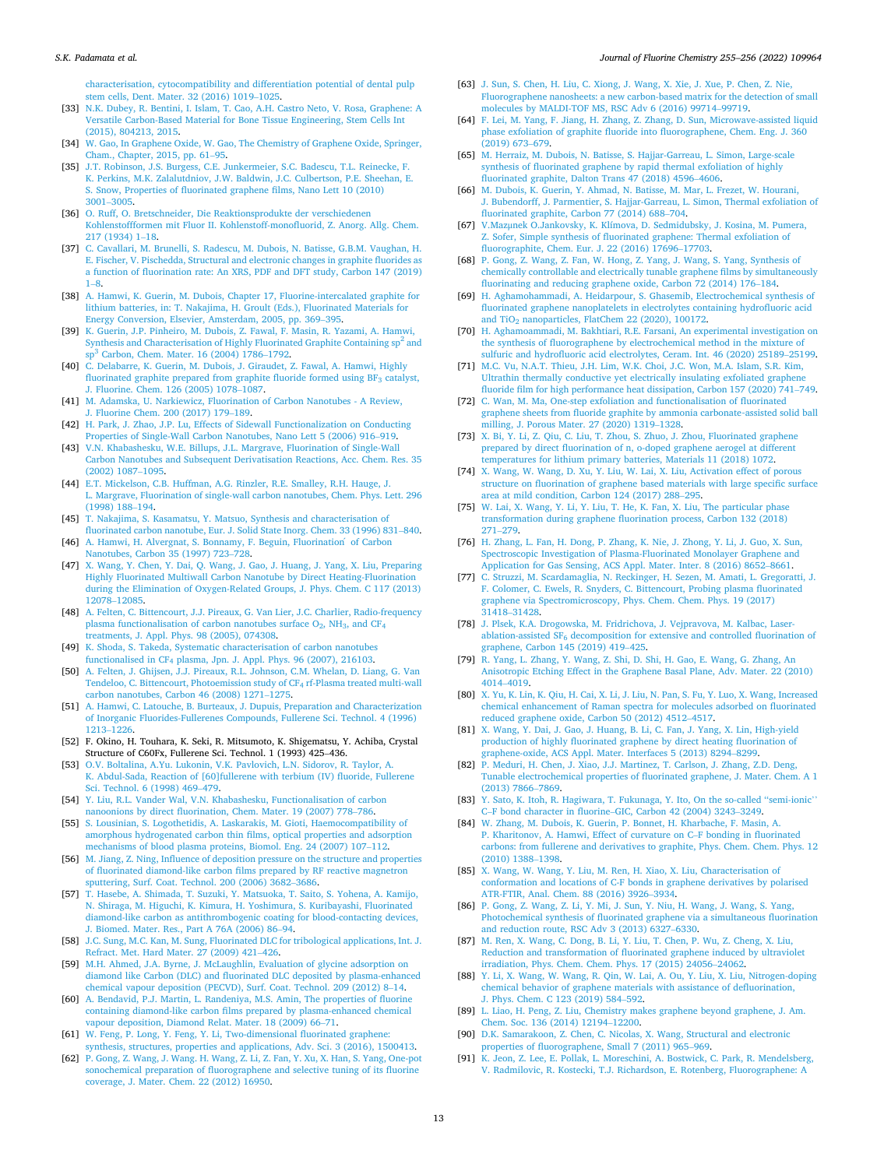#### <span id="page-12-0"></span>*S.K. Padamata et al.*

[characterisation, cytocompatibility and differentiation potential of dental pulp](http://refhub.elsevier.com/S0022-1139(22)00018-5/sbref0032)  [stem cells, Dent. Mater. 32 \(2016\) 1019](http://refhub.elsevier.com/S0022-1139(22)00018-5/sbref0032)–1025.

- [33] [N.K. Dubey, R. Bentini, I. Islam, T. Cao, A.H. Castro Neto, V. Rosa, Graphene: A](http://refhub.elsevier.com/S0022-1139(22)00018-5/sbref0033)  [Versatile Carbon-Based Material for Bone Tissue Engineering, Stem Cells Int](http://refhub.elsevier.com/S0022-1139(22)00018-5/sbref0033) [\(2015\), 804213, 2015.](http://refhub.elsevier.com/S0022-1139(22)00018-5/sbref0033)
- [34] [W. Gao, In Graphene Oxide, W. Gao, The Chemistry of Graphene Oxide, Springer,](http://refhub.elsevier.com/S0022-1139(22)00018-5/sbref0034)  [Cham., Chapter, 2015, pp. 61](http://refhub.elsevier.com/S0022-1139(22)00018-5/sbref0034)–95.
- [35] [J.T. Robinson, J.S. Burgess, C.E. Junkermeier, S.C. Badescu, T.L. Reinecke, F.](http://refhub.elsevier.com/S0022-1139(22)00018-5/sbref0035)  [K. Perkins, M.K. Zalalutdniov, J.W. Baldwin, J.C. Culbertson, P.E. Sheehan, E.](http://refhub.elsevier.com/S0022-1139(22)00018-5/sbref0035)  [S. Snow, Properties of fluorinated graphene films, Nano Lett 10 \(2010\)](http://refhub.elsevier.com/S0022-1139(22)00018-5/sbref0035)  [3001](http://refhub.elsevier.com/S0022-1139(22)00018-5/sbref0035)–3005.
- [36] [O. Ruff, O. Bretschneider, Die Reaktionsprodukte der verschiedenen](http://refhub.elsevier.com/S0022-1139(22)00018-5/sbref0036) [Kohlenstoffformen mit Fluor II. Kohlenstoff-monofluorid, Z. Anorg. Allg. Chem.](http://refhub.elsevier.com/S0022-1139(22)00018-5/sbref0036)  [217 \(1934\) 1](http://refhub.elsevier.com/S0022-1139(22)00018-5/sbref0036)–18.
- [37] [C. Cavallari, M. Brunelli, S. Radescu, M. Dubois, N. Batisse, G.B.M. Vaughan, H.](http://refhub.elsevier.com/S0022-1139(22)00018-5/sbref0037)  [E. Fischer, V. Pischedda, Structural and electronic changes in graphite fluorides as](http://refhub.elsevier.com/S0022-1139(22)00018-5/sbref0037)  [a function of fluorination rate: An XRS, PDF and DFT study, Carbon 147 \(2019\)](http://refhub.elsevier.com/S0022-1139(22)00018-5/sbref0037)  [1](http://refhub.elsevier.com/S0022-1139(22)00018-5/sbref0037)–8.
- [38] [A. Hamwi, K. Guerin, M. Dubois, Chapter 17, Fluorine-intercalated graphite for](http://refhub.elsevier.com/S0022-1139(22)00018-5/sbref0038) [lithium batteries, in: T. Nakajima, H. Groult \(Eds.\), Fluorinated Materials for](http://refhub.elsevier.com/S0022-1139(22)00018-5/sbref0038)  [Energy Conversion, Elsevier, Amsterdam, 2005, pp. 369](http://refhub.elsevier.com/S0022-1139(22)00018-5/sbref0038)–395.
- [39] [K. Guerin, J.P. Pinheiro, M. Dubois, Z. Fawal, F. Masin, R. Yazami, A. Hamwi,](http://refhub.elsevier.com/S0022-1139(22)00018-5/sbref0039) [Synthesis and Characterisation of Highly Fluorinated Graphite Containing sp](http://refhub.elsevier.com/S0022-1139(22)00018-5/sbref0039)<sup>2</sup> and sp3 [Carbon, Chem. Mater. 16 \(2004\) 1786](http://refhub.elsevier.com/S0022-1139(22)00018-5/sbref0039)–1792.
- [40] [C. Delabarre, K. Guerin, M. Dubois, J. Giraudet, Z. Fawal, A. Hamwi, Highly](http://refhub.elsevier.com/S0022-1139(22)00018-5/sbref0040)  [fluorinated graphite prepared from graphite fluoride formed using BF](http://refhub.elsevier.com/S0022-1139(22)00018-5/sbref0040)<sub>3</sub> catalyst, [J. Fluorine. Chem. 126 \(2005\) 1078](http://refhub.elsevier.com/S0022-1139(22)00018-5/sbref0040)–1087.
- [41] [M. Adamska, U. Narkiewicz, Fluorination of Carbon Nanotubes A Review,](http://refhub.elsevier.com/S0022-1139(22)00018-5/sbref0041)  [J. Fluorine Chem. 200 \(2017\) 179](http://refhub.elsevier.com/S0022-1139(22)00018-5/sbref0041)–189.
- [42] [H. Park, J. Zhao, J.P. Lu, Effects of Sidewall Functionalization on Conducting](http://refhub.elsevier.com/S0022-1139(22)00018-5/sbref0042) [Properties of Single-Wall Carbon Nanotubes, Nano Lett 5 \(2006\) 916](http://refhub.elsevier.com/S0022-1139(22)00018-5/sbref0042)–919.
- [43] [V.N. Khabashesku, W.E. Billups, J.L. Margrave, Fluorination of Single-Wall](http://refhub.elsevier.com/S0022-1139(22)00018-5/sbref0043)  [Carbon Nanotubes and Subsequent Derivatisation Reactions, Acc. Chem. Res. 35](http://refhub.elsevier.com/S0022-1139(22)00018-5/sbref0043)  [\(2002\) 1087](http://refhub.elsevier.com/S0022-1139(22)00018-5/sbref0043)–1095.
- [44] [E.T. Mickelson, C.B. Huffman, A.G. Rinzler, R.E. Smalley, R.H. Hauge, J.](http://refhub.elsevier.com/S0022-1139(22)00018-5/sbref0044)  [L. Margrave, Fluorination of single-wall carbon nanotubes, Chem. Phys. Lett. 296](http://refhub.elsevier.com/S0022-1139(22)00018-5/sbref0044)  [\(1998\) 188](http://refhub.elsevier.com/S0022-1139(22)00018-5/sbref0044)–194.
- [45] [T. Nakajima, S. Kasamatsu, Y. Matsuo, Synthesis and characterisation of](http://refhub.elsevier.com/S0022-1139(22)00018-5/sbref0045) [fluorinated carbon nanotube, Eur. J. Solid State Inorg. Chem. 33 \(1996\) 831](http://refhub.elsevier.com/S0022-1139(22)00018-5/sbref0045)–840.
- [46] [A. Hamwi, H. Alvergnat, S. Bonnamy, F. Beguin, Fluorination](http://refhub.elsevier.com/S0022-1139(22)00018-5/sbref0046) *of Carbon* [Nanotubes, Carbon 35 \(1997\) 723](http://refhub.elsevier.com/S0022-1139(22)00018-5/sbref0046)–728.
- [47] [X. Wang, Y. Chen, Y. Dai, Q. Wang, J. Gao, J. Huang, J. Yang, X. Liu, Preparing](http://refhub.elsevier.com/S0022-1139(22)00018-5/sbref0047)  [Highly Fluorinated Multiwall Carbon Nanotube by Direct Heating-Fluorination](http://refhub.elsevier.com/S0022-1139(22)00018-5/sbref0047)  [during the Elimination of Oxygen-Related Groups, J. Phys. Chem. C 117 \(2013\)](http://refhub.elsevier.com/S0022-1139(22)00018-5/sbref0047) [12078](http://refhub.elsevier.com/S0022-1139(22)00018-5/sbref0047)–12085.
- [48] [A. Felten, C. Bittencourt, J.J. Pireaux, G. Van Lier, J.C. Charlier, Radio-frequency](http://refhub.elsevier.com/S0022-1139(22)00018-5/sbref0048)  plasma functionalisation of carbon nanotubes surface  $O_2$ , NH<sub>3</sub>, and CF<sub>4</sub> [treatments, J. Appl. Phys. 98 \(2005\), 074308](http://refhub.elsevier.com/S0022-1139(22)00018-5/sbref0048).
- [49] [K. Shoda, S. Takeda, Systematic characterisation of carbon nanotubes](http://refhub.elsevier.com/S0022-1139(22)00018-5/sbref0049)  functionalised in CF4 [plasma, Jpn. J. Appl. Phys. 96 \(2007\), 216103](http://refhub.elsevier.com/S0022-1139(22)00018-5/sbref0049).
- [50] [A. Felten, J. Ghijsen, J.J. Pireaux, R.L. Johnson, C.M. Whelan, D. Liang, G. Van](http://refhub.elsevier.com/S0022-1139(22)00018-5/sbref0050) [Tendeloo, C. Bittencourt, Photoemission study of CF](http://refhub.elsevier.com/S0022-1139(22)00018-5/sbref0050)4 rf-Plasma treated multi-wall [carbon nanotubes, Carbon 46 \(2008\) 1271](http://refhub.elsevier.com/S0022-1139(22)00018-5/sbref0050)–1275.
- [51] [A. Hamwi, C. Latouche, B. Burteaux, J. Dupuis, Preparation and Characterization](http://refhub.elsevier.com/S0022-1139(22)00018-5/sbref0051)  [of Inorganic Fluorides-Fullerenes Compounds, Fullerene Sci. Technol. 4 \(1996\)](http://refhub.elsevier.com/S0022-1139(22)00018-5/sbref0051) [1213](http://refhub.elsevier.com/S0022-1139(22)00018-5/sbref0051)–1226.
- [52] F. Okino, H. Touhara, K. Seki, R. Mitsumoto, K. Shigematsu, Y. Achiba, Crystal Structure of C60Fx, Fullerene Sci. Technol. 1 (1993) 425–436.
- [53] [O.V. Boltalina, A.Yu. Lukonin, V.K. Pavlovich, L.N. Sidorov, R. Taylor, A.](http://refhub.elsevier.com/S0022-1139(22)00018-5/sbref0053)  [K. Abdul-Sada, Reaction of \[60\]fullerene with terbium \(IV\) fluoride, Fullerene](http://refhub.elsevier.com/S0022-1139(22)00018-5/sbref0053)  [Sci. Technol. 6 \(1998\) 469](http://refhub.elsevier.com/S0022-1139(22)00018-5/sbref0053)–479.
- [54] [Y. Liu, R.L. Vander Wal, V.N. Khabashesku, Functionalisation of carbon](http://refhub.elsevier.com/S0022-1139(22)00018-5/sbref0054)  [nanoonions by direct fluorination, Chem. Mater. 19 \(2007\) 778](http://refhub.elsevier.com/S0022-1139(22)00018-5/sbref0054)–786.
- [55] [S. Lousinian, S. Logothetidis, A. Laskarakis, M. Gioti, Haemocompatibility of](http://refhub.elsevier.com/S0022-1139(22)00018-5/sbref0055)  [amorphous hydrogenated carbon thin films, optical properties and adsorption](http://refhub.elsevier.com/S0022-1139(22)00018-5/sbref0055) [mechanisms of blood plasma proteins, Biomol. Eng. 24 \(2007\) 107](http://refhub.elsevier.com/S0022-1139(22)00018-5/sbref0055)–112.
- [56] [M. Jiang, Z. Ning, Influence of deposition pressure on the structure and properties](http://refhub.elsevier.com/S0022-1139(22)00018-5/sbref0056)  [of fluorinated diamond-like carbon films prepared by RF reactive magnetron](http://refhub.elsevier.com/S0022-1139(22)00018-5/sbref0056) [sputtering, Surf. Coat. Technol. 200 \(2006\) 3682](http://refhub.elsevier.com/S0022-1139(22)00018-5/sbref0056)–3686.
- [57] [T. Hasebe, A. Shimada, T. Suzuki, Y. Matsuoka, T. Saito, S. Yohena, A. Kamijo,](http://refhub.elsevier.com/S0022-1139(22)00018-5/sbref0057) [N. Shiraga, M. Higuchi, K. Kimura, H. Yoshimura, S. Kuribayashi, Fluorinated](http://refhub.elsevier.com/S0022-1139(22)00018-5/sbref0057) [diamond-like carbon as antithrombogenic coating for blood-contacting devices,](http://refhub.elsevier.com/S0022-1139(22)00018-5/sbref0057) [J. Biomed. Mater. Res., Part A 76A \(2006\) 86](http://refhub.elsevier.com/S0022-1139(22)00018-5/sbref0057)–94.
- [58] [J.C. Sung, M.C. Kan, M. Sung, Fluorinated DLC for tribological applications, Int. J.](http://refhub.elsevier.com/S0022-1139(22)00018-5/sbref0058)  [Refract. Met. Hard Mater. 27 \(2009\) 421](http://refhub.elsevier.com/S0022-1139(22)00018-5/sbref0058)–426.
- [59] [M.H. Ahmed, J.A. Byrne, J. McLaughlin, Evaluation of glycine adsorption on](http://refhub.elsevier.com/S0022-1139(22)00018-5/sbref0059)  [diamond like Carbon \(DLC\) and fluorinated DLC deposited by plasma-enhanced](http://refhub.elsevier.com/S0022-1139(22)00018-5/sbref0059)  [chemical vapour deposition \(PECVD\), Surf. Coat. Technol. 209 \(2012\) 8](http://refhub.elsevier.com/S0022-1139(22)00018-5/sbref0059)–14.
- [60] [A. Bendavid, P.J. Martin, L. Randeniya, M.S. Amin, The properties of fluorine](http://refhub.elsevier.com/S0022-1139(22)00018-5/sbref0060) [containing diamond-like carbon films prepared by plasma-enhanced chemical](http://refhub.elsevier.com/S0022-1139(22)00018-5/sbref0060)  [vapour deposition, Diamond Relat. Mater. 18 \(2009\) 66](http://refhub.elsevier.com/S0022-1139(22)00018-5/sbref0060)–71.
- [61] [W. Feng, P. Long, Y. Feng, Y. Li, Two-dimensional fluorinated graphene:](http://refhub.elsevier.com/S0022-1139(22)00018-5/sbref0061)
- [synthesis, structures, properties and applications, Adv. Sci. 3 \(2016\), 1500413.](http://refhub.elsevier.com/S0022-1139(22)00018-5/sbref0061) [62] [P. Gong, Z. Wang, J. Wang. H. Wang, Z. Li, Z. Fan, Y. Xu, X. Han, S. Yang, One-pot](http://refhub.elsevier.com/S0022-1139(22)00018-5/sbref0062)  [sonochemical preparation of fluorographene and selective tuning of its fluorine](http://refhub.elsevier.com/S0022-1139(22)00018-5/sbref0062)  [coverage, J. Mater. Chem. 22 \(2012\) 16950](http://refhub.elsevier.com/S0022-1139(22)00018-5/sbref0062).
- [63] [J. Sun, S. Chen, H. Liu, C. Xiong, J. Wang, X. Xie, J. Xue, P. Chen, Z. Nie,](http://refhub.elsevier.com/S0022-1139(22)00018-5/sbref0063) [Fluorographene nanosheets: a new carbon-based matrix for the detection of small](http://refhub.elsevier.com/S0022-1139(22)00018-5/sbref0063)  [molecules by MALDI-TOF MS, RSC Adv 6 \(2016\) 99714](http://refhub.elsevier.com/S0022-1139(22)00018-5/sbref0063)–99719.
- [64] [F. Lei, M. Yang, F. Jiang, H. Zhang, Z. Zhang, D. Sun, Microwave-assisted liquid](http://refhub.elsevier.com/S0022-1139(22)00018-5/sbref0064)  [phase exfoliation of graphite fluoride into fluorographene, Chem. Eng. J. 360](http://refhub.elsevier.com/S0022-1139(22)00018-5/sbref0064) [\(2019\) 673](http://refhub.elsevier.com/S0022-1139(22)00018-5/sbref0064)–679.
- [65] [M. Herraiz, M. Dubois, N. Batisse, S. Hajjar-Garreau, L. Simon, Large-scale](http://refhub.elsevier.com/S0022-1139(22)00018-5/sbref0065)  [synthesis of fluorinated graphene by rapid thermal exfoliation of highly](http://refhub.elsevier.com/S0022-1139(22)00018-5/sbref0065) [fluorinated graphite, Dalton Trans 47 \(2018\) 4596](http://refhub.elsevier.com/S0022-1139(22)00018-5/sbref0065)–4606.
- [66] [M. Dubois, K. Guerin, Y. Ahmad, N. Batisse, M. Mar, L. Frezet, W. Hourani,](http://refhub.elsevier.com/S0022-1139(22)00018-5/sbref0066) [J. Bubendorff, J. Parmentier, S. Hajjar-Garreau, L. Simon, Thermal exfoliation of](http://refhub.elsevier.com/S0022-1139(22)00018-5/sbref0066)  [fluorinated graphite, Carbon 77 \(2014\) 688](http://refhub.elsevier.com/S0022-1139(22)00018-5/sbref0066)–704.
- [67] V.Mazμ[nek O.Jankovsky, K. Klímova, D. Sedmidubsky, J. Kosina, M. Pumera,](http://refhub.elsevier.com/S0022-1139(22)00018-5/sbref0067) [Z. Sofer, Simple synthesis of fluorinated graphene: Thermal exfoliation of](http://refhub.elsevier.com/S0022-1139(22)00018-5/sbref0067)  [fluorographite, Chem. Eur. J. 22 \(2016\) 17696](http://refhub.elsevier.com/S0022-1139(22)00018-5/sbref0067)–17703.
- [68] [P. Gong, Z. Wang, Z. Fan, W. Hong, Z. Yang, J. Wang, S. Yang, Synthesis of](http://refhub.elsevier.com/S0022-1139(22)00018-5/sbref0068)  [chemically controllable and electrically tunable graphene films by simultaneously](http://refhub.elsevier.com/S0022-1139(22)00018-5/sbref0068)  [fluorinating and reducing graphene oxide, Carbon 72 \(2014\) 176](http://refhub.elsevier.com/S0022-1139(22)00018-5/sbref0068)–184.
- [H. Aghamohammadi, A. Heidarpour, S. Ghasemib, Electrochemical synthesis of](http://refhub.elsevier.com/S0022-1139(22)00018-5/sbref0069) [fluorinated graphene nanoplatelets in electrolytes containing hydrofluoric acid](http://refhub.elsevier.com/S0022-1139(22)00018-5/sbref0069)  and TiO2 [nanoparticles, FlatChem 22 \(2020\), 100172.](http://refhub.elsevier.com/S0022-1139(22)00018-5/sbref0069)
- [70] [H. Aghamoammadi, M. Bakhtiari, R.E. Farsani, An experimental investigation on](http://refhub.elsevier.com/S0022-1139(22)00018-5/sbref0070)  [the synthesis of fluorographene by electrochemical method in the mixture of](http://refhub.elsevier.com/S0022-1139(22)00018-5/sbref0070) [sulfuric and hydrofluoric acid electrolytes, Ceram. Int. 46 \(2020\) 25189](http://refhub.elsevier.com/S0022-1139(22)00018-5/sbref0070)–25199.
- [71] [M.C. Vu, N.A.T. Thieu, J.H. Lim, W.K. Choi, J.C. Won, M.A. Islam, S.R. Kim,](http://refhub.elsevier.com/S0022-1139(22)00018-5/sbref0071) [Ultrathin thermally conductive yet electrically insulating exfoliated graphene](http://refhub.elsevier.com/S0022-1139(22)00018-5/sbref0071)  [fluoride film for high performance heat dissipation, Carbon 157 \(2020\) 741](http://refhub.elsevier.com/S0022-1139(22)00018-5/sbref0071)–749.
- [72] [C. Wan, M. Ma, One-step exfoliation and functionalisation of fluorinated](http://refhub.elsevier.com/S0022-1139(22)00018-5/sbref0072) [graphene sheets from fluoride graphite by ammonia carbonate](http://refhub.elsevier.com/S0022-1139(22)00018-5/sbref0072)‑assisted solid ball [milling, J. Porous Mater. 27 \(2020\) 1319](http://refhub.elsevier.com/S0022-1139(22)00018-5/sbref0072)–1328.
- [73] [X. Bi, Y. Li, Z. Qiu, C. Liu, T. Zhou, S. Zhuo, J. Zhou, Fluorinated graphene](http://refhub.elsevier.com/S0022-1139(22)00018-5/sbref0073) [prepared by direct fluorination of n, o-doped graphene aerogel at different](http://refhub.elsevier.com/S0022-1139(22)00018-5/sbref0073)  [temperatures for lithium primary batteries, Materials 11 \(2018\) 1072](http://refhub.elsevier.com/S0022-1139(22)00018-5/sbref0073).
- [74] [X. Wang, W. Wang, D. Xu, Y. Liu, W. Lai, X. Liu, Activation effect of porous](http://refhub.elsevier.com/S0022-1139(22)00018-5/sbref0074)  [structure on fluorination of graphene based materials with large specific surface](http://refhub.elsevier.com/S0022-1139(22)00018-5/sbref0074)  [area at mild condition, Carbon 124 \(2017\) 288](http://refhub.elsevier.com/S0022-1139(22)00018-5/sbref0074)–295.
- [75] [W. Lai, X. Wang, Y. Li, Y. Liu, T. He, K. Fan, X. Liu, The particular phase](http://refhub.elsevier.com/S0022-1139(22)00018-5/sbref0075) [transformation during graphene fluorination process, Carbon 132 \(2018\)](http://refhub.elsevier.com/S0022-1139(22)00018-5/sbref0075)  271–[279.](http://refhub.elsevier.com/S0022-1139(22)00018-5/sbref0075)
- [76] [H. Zhang, L. Fan, H. Dong, P. Zhang, K. Nie, J. Zhong, Y. Li, J. Guo, X. Sun,](http://refhub.elsevier.com/S0022-1139(22)00018-5/sbref0076) [Spectroscopic Investigation of Plasma-Fluorinated Monolayer Graphene and](http://refhub.elsevier.com/S0022-1139(22)00018-5/sbref0076) [Application for Gas Sensing, ACS Appl. Mater. Inter. 8 \(2016\) 8652](http://refhub.elsevier.com/S0022-1139(22)00018-5/sbref0076)–8661.
- [77] [C. Struzzi, M. Scardamaglia, N. Reckinger, H. Sezen, M. Amati, L. Gregoratti, J.](http://refhub.elsevier.com/S0022-1139(22)00018-5/sbref0077) [F. Colomer, C. Ewels, R. Snyders, C. Bittencourt, Probing plasma fluorinated](http://refhub.elsevier.com/S0022-1139(22)00018-5/sbref0077) [graphene via Spectromicroscopy, Phys. Chem. Chem. Phys. 19 \(2017\)](http://refhub.elsevier.com/S0022-1139(22)00018-5/sbref0077) [31418](http://refhub.elsevier.com/S0022-1139(22)00018-5/sbref0077)–31428.
- [78] [J. Plsek, K.A. Drogowska, M. Fridrichova, J. Vejpravova, M. Kalbac, Laser](http://refhub.elsevier.com/S0022-1139(22)00018-5/sbref0078)ablation-assisted SF6 [decomposition for extensive and controlled fluorination of](http://refhub.elsevier.com/S0022-1139(22)00018-5/sbref0078) [graphene, Carbon 145 \(2019\) 419](http://refhub.elsevier.com/S0022-1139(22)00018-5/sbref0078)–425.
- [79] [R. Yang, L. Zhang, Y. Wang, Z. Shi, D. Shi, H. Gao, E. Wang, G. Zhang, An](http://refhub.elsevier.com/S0022-1139(22)00018-5/sbref0079)  [Anisotropic Etching Effect in the Graphene Basal Plane, Adv. Mater. 22 \(2010\)](http://refhub.elsevier.com/S0022-1139(22)00018-5/sbref0079) [4014](http://refhub.elsevier.com/S0022-1139(22)00018-5/sbref0079)–4019.
- [80] [X. Yu, K. Lin, K. Qiu, H. Cai, X. Li, J. Liu, N. Pan, S. Fu, Y. Luo, X. Wang, Increased](http://refhub.elsevier.com/S0022-1139(22)00018-5/sbref0080)  [chemical enhancement of Raman spectra for molecules adsorbed on fluorinated](http://refhub.elsevier.com/S0022-1139(22)00018-5/sbref0080)  [reduced graphene oxide, Carbon 50 \(2012\) 4512](http://refhub.elsevier.com/S0022-1139(22)00018-5/sbref0080)–4517.
- [81] [X. Wang, Y. Dai, J. Gao, J. Huang, B. Li, C. Fan, J. Yang, X. Lin, High-yield](http://refhub.elsevier.com/S0022-1139(22)00018-5/sbref0081)  [production of highly fluorinated graphene by direct heating fluorination of](http://refhub.elsevier.com/S0022-1139(22)00018-5/sbref0081) [graphene-oxide, ACS Appl. Mater. Interfaces 5 \(2013\) 8294](http://refhub.elsevier.com/S0022-1139(22)00018-5/sbref0081)–8299.
- [82] [P. Meduri, H. Chen, J. Xiao, J.J. Martinez, T. Carlson, J. Zhang, Z.D. Deng,](http://refhub.elsevier.com/S0022-1139(22)00018-5/sbref0082)  [Tunable electrochemical properties of fluorinated graphene, J. Mater. Chem. A 1](http://refhub.elsevier.com/S0022-1139(22)00018-5/sbref0082)  [\(2013\) 7866](http://refhub.elsevier.com/S0022-1139(22)00018-5/sbref0082)–7869.
- [83] [Y. Sato, K. Itoh, R. Hagiwara, T. Fukunaga, Y. Ito, On the so-called ''semi-ionic](http://refhub.elsevier.com/S0022-1139(22)00018-5/sbref0083)'' C–F bond character in fluorine–[GIC, Carbon 42 \(2004\) 3243](http://refhub.elsevier.com/S0022-1139(22)00018-5/sbref0083)–3249.
- [84] [W. Zhang, M. Dubois, K. Guerin, P. Bonnet, H. Kharbache, F. Masin, A.](http://refhub.elsevier.com/S0022-1139(22)00018-5/sbref0084)  [P. Kharitonov, A. Hamwi, Effect of curvature on C](http://refhub.elsevier.com/S0022-1139(22)00018-5/sbref0084)–F bonding in fluorinated [carbons: from fullerene and derivatives to graphite, Phys. Chem. Chem. Phys. 12](http://refhub.elsevier.com/S0022-1139(22)00018-5/sbref0084)  [\(2010\) 1388](http://refhub.elsevier.com/S0022-1139(22)00018-5/sbref0084)–1398.
- [85] [X. Wang, W. Wang, Y. Liu, M. Ren, H. Xiao, X. Liu, Characterisation of](http://refhub.elsevier.com/S0022-1139(22)00018-5/sbref0085) [conformation and locations of C-F bonds in graphene derivatives by polarised](http://refhub.elsevier.com/S0022-1139(22)00018-5/sbref0085) [ATR-FTIR, Anal. Chem. 88 \(2016\) 3926](http://refhub.elsevier.com/S0022-1139(22)00018-5/sbref0085)–3934.
- [86] [P. Gong, Z. Wang, Z. Li, Y. Mi, J. Sun, Y. Niu, H. Wang, J. Wang, S. Yang,](http://refhub.elsevier.com/S0022-1139(22)00018-5/sbref0086)  [Photochemical synthesis of fluorinated graphene via a simultaneous fluorination](http://refhub.elsevier.com/S0022-1139(22)00018-5/sbref0086)  [and reduction route, RSC Adv 3 \(2013\) 6327](http://refhub.elsevier.com/S0022-1139(22)00018-5/sbref0086)–6330.
- [87] [M. Ren, X. Wang, C. Dong, B. Li, Y. Liu, T. Chen, P. Wu, Z. Cheng, X. Liu,](http://refhub.elsevier.com/S0022-1139(22)00018-5/sbref0087)  [Reduction and transformation of fluorinated graphene induced by ultraviolet](http://refhub.elsevier.com/S0022-1139(22)00018-5/sbref0087)  [irradiation, Phys. Chem. Chem. Phys. 17 \(2015\) 24056](http://refhub.elsevier.com/S0022-1139(22)00018-5/sbref0087)–24062.
- [88] [Y. Li, X. Wang, W. Wang, R. Qin, W. Lai, A. Ou, Y. Liu, X. Liu, Nitrogen-doping](http://refhub.elsevier.com/S0022-1139(22)00018-5/sbref0088)  [chemical behavior of graphene materials with assistance of defluorination,](http://refhub.elsevier.com/S0022-1139(22)00018-5/sbref0088) [J. Phys. Chem. C 123 \(2019\) 584](http://refhub.elsevier.com/S0022-1139(22)00018-5/sbref0088)–592.
- [89] [L. Liao, H. Peng, Z. Liu, Chemistry makes graphene beyond graphene, J. Am.](http://refhub.elsevier.com/S0022-1139(22)00018-5/sbref0089)  [Chem. Soc. 136 \(2014\) 12194](http://refhub.elsevier.com/S0022-1139(22)00018-5/sbref0089)–12200.
- [90] [D.K. Samarakoon, Z. Chen, C. Nicolas, X. Wang, Structural and electronic](http://refhub.elsevier.com/S0022-1139(22)00018-5/sbref0090)  [properties of fluorographene, Small 7 \(2011\) 965](http://refhub.elsevier.com/S0022-1139(22)00018-5/sbref0090)–969.
- [91] [K. Jeon, Z. Lee, E. Pollak, L. Moreschini, A. Bostwick, C. Park, R. Mendelsberg,](http://refhub.elsevier.com/S0022-1139(22)00018-5/sbref0091)  [V. Radmilovic, R. Kostecki, T.J. Richardson, E. Rotenberg, Fluorographene: A](http://refhub.elsevier.com/S0022-1139(22)00018-5/sbref0091)